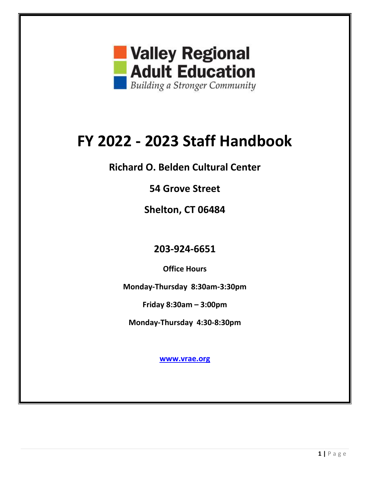

# **FY 2022 - 2023 Staff Handbook**

**Richard O. Belden Cultural Center**

**54 Grove Street**

**Shelton, CT 06484**

**203-924-6651** 

**Office Hours**

**Monday-Thursday 8:30am-3:30pm**

**Friday 8:30am – 3:00pm**

**Monday-Thursday 4:30-8:30pm** 

**[www.vrae.org](http://www.vrae.org/)**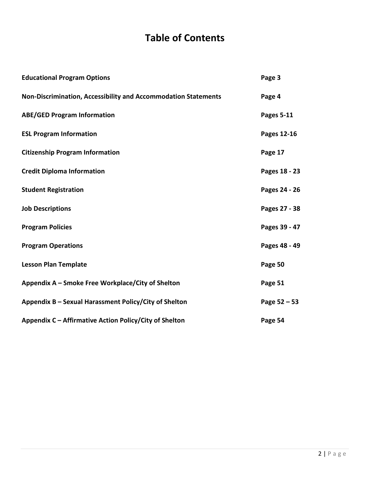# **Table of Contents**

| <b>Educational Program Options</b>                             | Page 3        |
|----------------------------------------------------------------|---------------|
| Non-Discrimination, Accessibility and Accommodation Statements | Page 4        |
| <b>ABE/GED Program Information</b>                             | Pages 5-11    |
| <b>ESL Program Information</b>                                 | Pages 12-16   |
| <b>Citizenship Program Information</b>                         | Page 17       |
| <b>Credit Diploma Information</b>                              | Pages 18 - 23 |
| <b>Student Registration</b>                                    | Pages 24 - 26 |
| <b>Job Descriptions</b>                                        | Pages 27 - 38 |
| <b>Program Policies</b>                                        | Pages 39 - 47 |
| <b>Program Operations</b>                                      | Pages 48 - 49 |
| <b>Lesson Plan Template</b>                                    | Page 50       |
| Appendix A – Smoke Free Workplace/City of Shelton              | Page 51       |
| Appendix B - Sexual Harassment Policy/City of Shelton          | Page 52 - 53  |
| Appendix C - Affirmative Action Policy/City of Shelton         | Page 54       |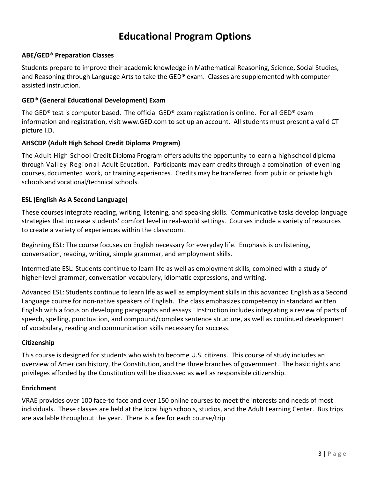### **Educational Program Options**

#### **ABE/GED® Preparation Classes**

Students prepare to improve their academic knowledge in Mathematical Reasoning, Science, Social Studies, and Reasoning through Language Arts to take the GED® exam. Classes are supplemented with computer assisted instruction.

#### **GED® (General Educational Development) Exam**

The GED® test is computer based. The official GED® exam registration is online. For all GED® exam information and registration, visit [www.GED.com](http://www.ged.comsetup/) to set up an account. All students must present a valid CT picture I.D.

#### **AHSCDP (Adult High School Credit Diploma Program)**

The Adult High School Credit Diploma Program offers adults the opportunity to earn a high school diploma through Valley Regional Adult Education. Participants may earn credits through a combination of evening courses, documented work, or training experiences. Credits may be transferred from public or private high schools and vocational/technical schools.

#### **ESL (English As A Second Language)**

These courses integrate reading, writing, listening, and speaking skills. Communicative tasks develop language strategies that increase students' comfort level in real-world settings. Courses include a variety of resources to create a variety of experiences within the classroom.

Beginning ESL: The course focuses on English necessary for everyday life. Emphasis is on listening, conversation, reading, writing, simple grammar, and employment skills.

Intermediate ESL: Students continue to learn life as well as employment skills, combined with a study of higher-level grammar, conversation vocabulary, idiomatic expressions, and writing.

Advanced ESL: Students continue to learn life as well as employment skills in this advanced English as a Second Language course for non-native speakers of English. The class emphasizes competency in standard written English with a focus on developing paragraphs and essays. Instruction includes integrating a review of parts of speech, spelling, punctuation, and compound/complex sentence structure, as well as continued development of vocabulary, reading and communication skills necessary for success.

#### **Citizenship**

This course is designed for students who wish to become U.S. citizens. This course of study includes an overview of American history, the Constitution, and the three branches of government. The basic rights and privileges afforded by the Constitution will be discussed as well as responsible citizenship.

#### **Enrichment**

VRAE provides over 100 face-to face and over 150 online courses to meet the interests and needs of most individuals. These classes are held at the local high schools, studios, and the Adult Learning Center. Bus trips are available throughout the year. There is a fee for each course/trip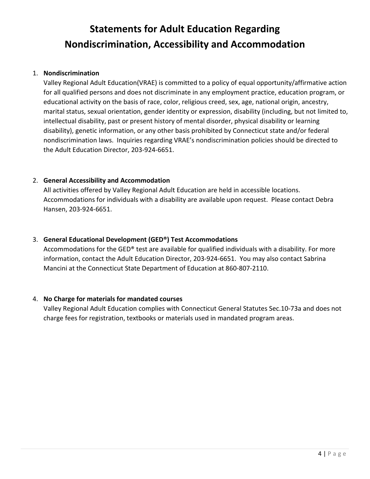# **Statements for Adult Education Regarding Nondiscrimination, Accessibility and Accommodation**

#### 1. **Nondiscrimination**

Valley Regional Adult Education(VRAE) is committed to a policy of equal opportunity/affirmative action for all qualified persons and does not discriminate in any employment practice, education program, or educational activity on the basis of race, color, religious creed, sex, age, national origin, ancestry, marital status, sexual orientation, gender identity or expression, disability (including, but not limited to, intellectual disability, past or present history of mental disorder, physical disability or learning disability), genetic information, or any other basis prohibited by Connecticut state and/or federal nondiscrimination laws. Inquiries regarding VRAE's nondiscrimination policies should be directed to the Adult Education Director, 203-924-6651.

#### 2. **General Accessibility and Accommodation**

All activities offered by Valley Regional Adult Education are held in accessible locations. Accommodations for individuals with a disability are available upon request. Please contact Debra Hansen, 203-924-6651.

#### 3. **General Educational Development (GED®) Test Accommodations**

Accommodations for the GED® test are available for qualified individuals with a disability. For more information, contact the Adult Education Director, 203-924-6651. You may also contact Sabrina Mancini at the Connecticut State Department of Education at 860-807-2110.

#### 4. **No Charge for materials for mandated courses**

Valley Regional Adult Education complies with Connecticut General Statutes Sec.10-73a and does not charge fees for registration, textbooks or materials used in mandated program areas.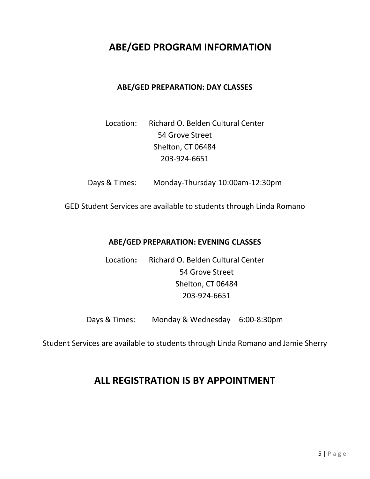### **ABE/GED PROGRAM INFORMATION**

#### **ABE/GED PREPARATION: DAY CLASSES**

### Location: Richard O. Belden Cultural Center 54 Grove Street Shelton, CT 06484 203-924-6651

Days & Times: Monday-Thursday 10:00am-12:30pm

GED Student Services are available to students through Linda Romano

#### **ABE/GED PREPARATION: EVENING CLASSES**

Location**:** Richard O. Belden Cultural Center 54 Grove Street Shelton, CT 06484 203-924-6651

Days & Times: Monday & Wednesday 6:00-8:30pm

Student Services are available to students through Linda Romano and Jamie Sherry

### **ALL REGISTRATION IS BY APPOINTMENT**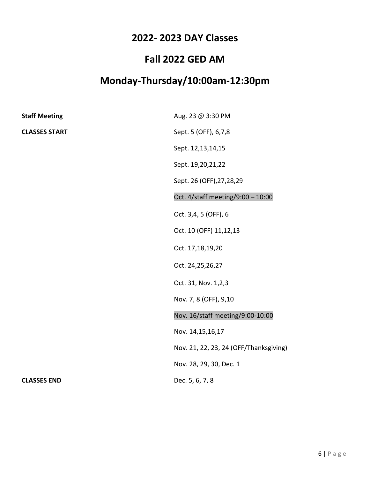### **Fall 2022 GED AM**

# **Monday-Thursday/10:00am-12:30pm**

| <b>Staff Meeting</b> | Aug. 23 @ 3:30 PM                      |
|----------------------|----------------------------------------|
| <b>CLASSES START</b> | Sept. 5 (OFF), 6,7,8                   |
|                      | Sept. 12,13,14,15                      |
|                      | Sept. 19,20,21,22                      |
|                      | Sept. 26 (OFF), 27, 28, 29             |
|                      | Oct. 4/staff meeting/9:00 - 10:00      |
|                      | Oct. 3,4, 5 (OFF), 6                   |
|                      | Oct. 10 (OFF) 11,12,13                 |
|                      | Oct. 17,18,19,20                       |
|                      | Oct. 24,25,26,27                       |
|                      | Oct. 31, Nov. 1,2,3                    |
|                      | Nov. 7, 8 (OFF), 9,10                  |
|                      | Nov. 16/staff meeting/9:00-10:00       |
|                      | Nov. 14,15,16,17                       |
|                      | Nov. 21, 22, 23, 24 (OFF/Thanksgiving) |
|                      | Nov. 28, 29, 30, Dec. 1                |
| <b>CLASSES END</b>   | Dec. 5, 6, 7, 8                        |
|                      |                                        |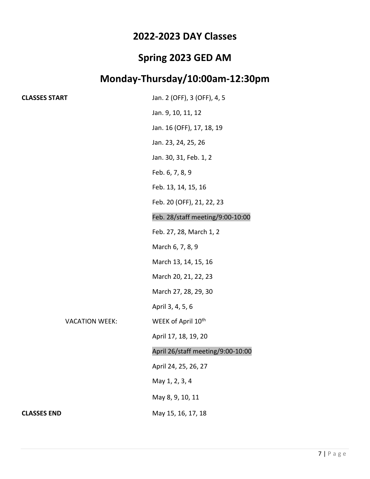# **Spring 2023 GED AM**

# **Monday-Thursday/10:00am-12:30pm**

| <b>CLASSES START</b> |                       | Jan. 2 (OFF), 3 (OFF), 4, 5       |
|----------------------|-----------------------|-----------------------------------|
|                      |                       | Jan. 9, 10, 11, 12                |
|                      |                       | Jan. 16 (OFF), 17, 18, 19         |
|                      |                       | Jan. 23, 24, 25, 26               |
|                      |                       | Jan. 30, 31, Feb. 1, 2            |
|                      |                       | Feb. 6, 7, 8, 9                   |
|                      |                       | Feb. 13, 14, 15, 16               |
|                      |                       | Feb. 20 (OFF), 21, 22, 23         |
|                      |                       | Feb. 28/staff meeting/9:00-10:00  |
|                      |                       | Feb. 27, 28, March 1, 2           |
|                      |                       | March 6, 7, 8, 9                  |
|                      |                       | March 13, 14, 15, 16              |
|                      |                       | March 20, 21, 22, 23              |
|                      |                       | March 27, 28, 29, 30              |
|                      |                       | April 3, 4, 5, 6                  |
|                      | <b>VACATION WEEK:</b> | WEEK of April 10 <sup>th</sup>    |
|                      |                       | April 17, 18, 19, 20              |
|                      |                       | April 26/staff meeting/9:00-10:00 |
|                      |                       | April 24, 25, 26, 27              |
|                      |                       | May 1, 2, 3, 4                    |
|                      |                       | May 8, 9, 10, 11                  |
| <b>CLASSES END</b>   |                       | May 15, 16, 17, 18                |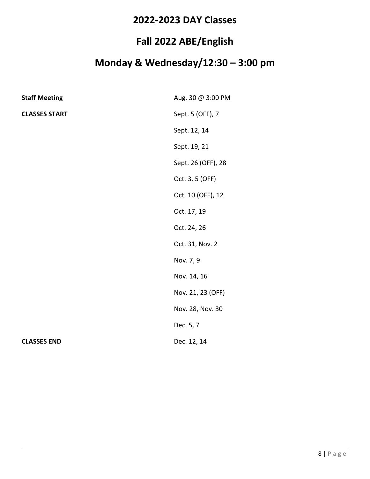### **Fall 2022 ABE/English**

# **Monday & Wednesday/12:30 – 3:00 pm**

| <b>Staff Meeting</b> | Aug. 30 @ 3:00 PM  |
|----------------------|--------------------|
| <b>CLASSES START</b> | Sept. 5 (OFF), 7   |
|                      | Sept. 12, 14       |
|                      | Sept. 19, 21       |
|                      | Sept. 26 (OFF), 28 |
|                      | Oct. 3, 5 (OFF)    |
|                      | Oct. 10 (OFF), 12  |
|                      | Oct. 17, 19        |
|                      | Oct. 24, 26        |
|                      | Oct. 31, Nov. 2    |
|                      | Nov. 7, 9          |
|                      | Nov. 14, 16        |
|                      | Nov. 21, 23 (OFF)  |
|                      | Nov. 28, Nov. 30   |
|                      | Dec. 5, 7          |
| <b>CLASSES END</b>   | Dec. 12, 14        |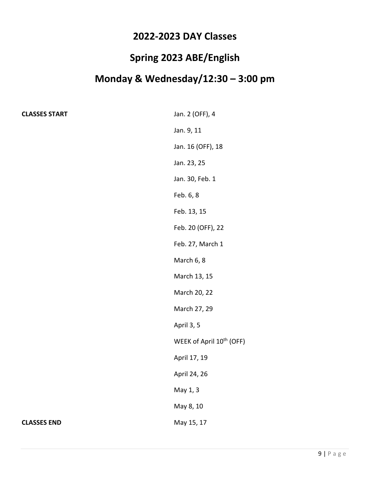### **Spring 2023 ABE/English**

# **Monday & Wednesday/12:30 – 3:00 pm**

| <b>CLASSES START</b> |  |
|----------------------|--|
|----------------------|--|

| <b>CLASSES START</b> | Jan. 2 (OFF), 4                      |
|----------------------|--------------------------------------|
|                      | Jan. 9, 11                           |
|                      | Jan. 16 (OFF), 18                    |
|                      | Jan. 23, 25                          |
|                      | Jan. 30, Feb. 1                      |
|                      | Feb. 6, 8                            |
|                      | Feb. 13, 15                          |
|                      | Feb. 20 (OFF), 22                    |
|                      | Feb. 27, March 1                     |
|                      | March 6, 8                           |
|                      | March 13, 15                         |
|                      | March 20, 22                         |
|                      | March 27, 29                         |
|                      | April 3, 5                           |
|                      | WEEK of April 10 <sup>th</sup> (OFF) |
|                      | April 17, 19                         |
|                      | April 24, 26                         |
|                      | May 1, 3                             |
|                      | May 8, 10                            |
| <b>CLASSES END</b>   | May 15, 17                           |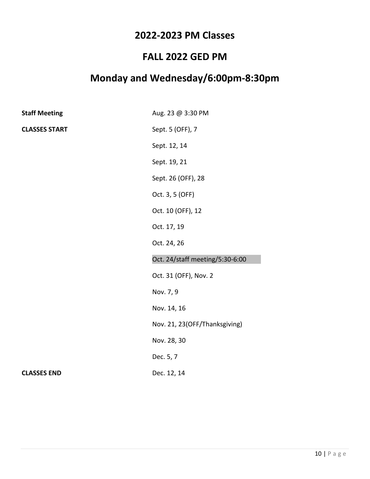### **2022-2023 PM Classes**

### **FALL 2022 GED PM**

### **Monday and Wednesday/6:00pm-8:30pm**

| <b>Staff Meeting</b> | Aug. 23 @ 3:30 PM               |
|----------------------|---------------------------------|
| <b>CLASSES START</b> | Sept. 5 (OFF), 7                |
|                      | Sept. 12, 14                    |
|                      | Sept. 19, 21                    |
|                      | Sept. 26 (OFF), 28              |
|                      | Oct. 3, 5 (OFF)                 |
|                      | Oct. 10 (OFF), 12               |
|                      | Oct. 17, 19                     |
|                      | Oct. 24, 26                     |
|                      | Oct. 24/staff meeting/5:30-6:00 |
|                      | Oct. 31 (OFF), Nov. 2           |
|                      | Nov. 7, 9                       |
|                      | Nov. 14, 16                     |
|                      | Nov. 21, 23(OFF/Thanksgiving)   |
|                      | Nov. 28, 30                     |
|                      | Dec. 5, 7                       |
| <b>CLASSES END</b>   | Dec. 12, 14                     |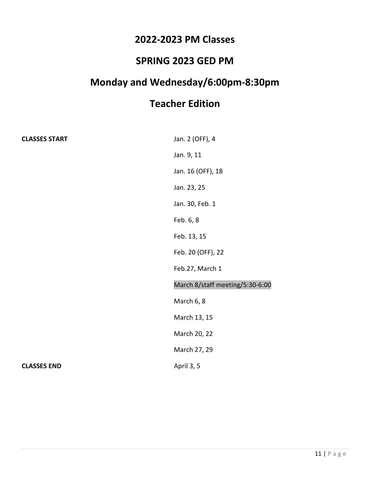### **2022-2023 PM Classes**

### **SPRING 2023 GED PM**

# **Monday and Wednesday/6:00pm-8:30pm**

# **Teacher Edition**

| <b>CLASSES START</b> | Jan. 2 (OFF), 4                 |
|----------------------|---------------------------------|
|                      | Jan. 9, 11                      |
|                      | Jan. 16 (OFF), 18               |
|                      | Jan. 23, 25                     |
|                      | Jan. 30, Feb. 1                 |
|                      | Feb. 6, 8                       |
|                      | Feb. 13, 15                     |
|                      | Feb. 20 (OFF), 22               |
|                      | Feb.27, March 1                 |
|                      | March 8/staff meeting/5:30-6:00 |
|                      | March 6, 8                      |
|                      | March 13, 15                    |
|                      | March 20, 22                    |
|                      | March 27, 29                    |
| <b>CLASSES END</b>   | April 3, 5                      |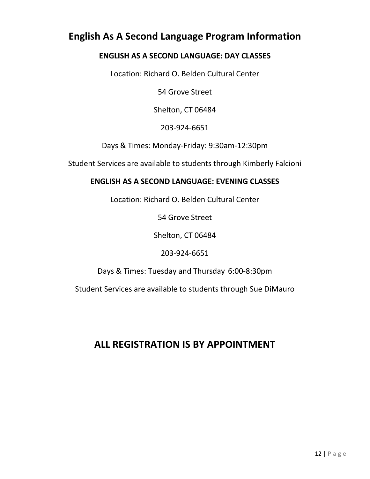### **English As A Second Language Program Information**

### **ENGLISH AS A SECOND LANGUAGE: DAY CLASSES**

Location: Richard O. Belden Cultural Center

54 Grove Street

Shelton, CT 06484

203-924-6651

Days & Times: Monday-Friday: 9:30am-12:30pm

Student Services are available to students through Kimberly Falcioni

### **ENGLISH AS A SECOND LANGUAGE: EVENING CLASSES**

Location: Richard O. Belden Cultural Center

54 Grove Street

Shelton, CT 06484

203-924-6651

Days & Times: Tuesday and Thursday 6:00-8:30pm

Student Services are available to students through Sue DiMauro

### **ALL REGISTRATION IS BY APPOINTMENT**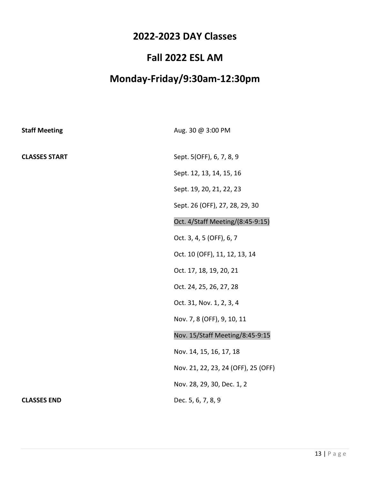### **Fall 2022 ESL AM**

# **Monday-Friday/9:30am-12:30pm**

| <b>Staff Meeting</b> | Aug. 30 @ 3:00 PM                   |
|----------------------|-------------------------------------|
| <b>CLASSES START</b> | Sept. 5(OFF), 6, 7, 8, 9            |
|                      | Sept. 12, 13, 14, 15, 16            |
|                      | Sept. 19, 20, 21, 22, 23            |
|                      | Sept. 26 (OFF), 27, 28, 29, 30      |
|                      | Oct. 4/Staff Meeting/(8:45-9:15)    |
|                      | Oct. 3, 4, 5 (OFF), 6, 7            |
|                      | Oct. 10 (OFF), 11, 12, 13, 14       |
|                      | Oct. 17, 18, 19, 20, 21             |
|                      | Oct. 24, 25, 26, 27, 28             |
|                      | Oct. 31, Nov. 1, 2, 3, 4            |
|                      | Nov. 7, 8 (OFF), 9, 10, 11          |
|                      | Nov. 15/Staff Meeting/8:45-9:15     |
|                      | Nov. 14, 15, 16, 17, 18             |
|                      | Nov. 21, 22, 23, 24 (OFF), 25 (OFF) |
|                      | Nov. 28, 29, 30, Dec. 1, 2          |
| <b>CLASSES END</b>   | Dec. 5, 6, 7, 8, 9                  |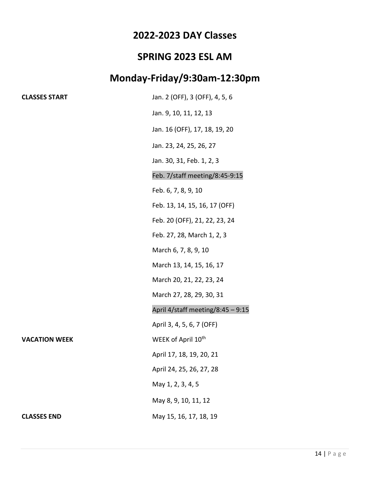### **SPRING 2023 ESL AM**

### **Monday-Friday/9:30am-12:30pm**

| <b>CLASSES START</b> | Jan. 2 (OFF), 3 (OFF), 4, 5, 6    |
|----------------------|-----------------------------------|
|                      | Jan. 9, 10, 11, 12, 13            |
|                      | Jan. 16 (OFF), 17, 18, 19, 20     |
|                      | Jan. 23, 24, 25, 26, 27           |
|                      | Jan. 30, 31, Feb. 1, 2, 3         |
|                      | Feb. 7/staff meeting/8:45-9:15    |
|                      | Feb. 6, 7, 8, 9, 10               |
|                      | Feb. 13, 14, 15, 16, 17 (OFF)     |
|                      | Feb. 20 (OFF), 21, 22, 23, 24     |
|                      | Feb. 27, 28, March 1, 2, 3        |
|                      | March 6, 7, 8, 9, 10              |
|                      | March 13, 14, 15, 16, 17          |
|                      | March 20, 21, 22, 23, 24          |
|                      | March 27, 28, 29, 30, 31          |
|                      | April 4/staff meeting/8:45 - 9:15 |
|                      | April 3, 4, 5, 6, 7 (OFF)         |
| <b>VACATION WEEK</b> | WEEK of April 10th                |
|                      | April 17, 18, 19, 20, 21          |
|                      | April 24, 25, 26, 27, 28          |
|                      | May 1, 2, 3, 4, 5                 |
|                      | May 8, 9, 10, 11, 12              |
| <b>CLASSES END</b>   | May 15, 16, 17, 18, 19            |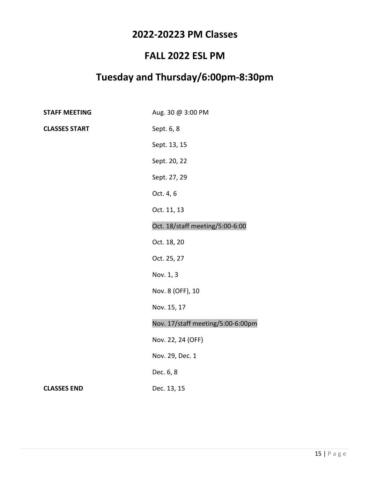### **2022-20223 PM Classes**

### **FALL 2022 ESL PM**

### **Tuesday and Thursday/6:00pm-8:30pm**

| <b>STAFF MEETING</b> | Aug. 30 @ 3:00 PM                 |
|----------------------|-----------------------------------|
| <b>CLASSES START</b> | Sept. 6, 8                        |
|                      | Sept. 13, 15                      |
|                      | Sept. 20, 22                      |
|                      | Sept. 27, 29                      |
|                      | Oct. 4, 6                         |
|                      | Oct. 11, 13                       |
|                      | Oct. 18/staff meeting/5:00-6:00   |
|                      | Oct. 18, 20                       |
|                      | Oct. 25, 27                       |
|                      | Nov. 1, 3                         |
|                      | Nov. 8 (OFF), 10                  |
|                      | Nov. 15, 17                       |
|                      | Nov. 17/staff meeting/5:00-6:00pm |
|                      | Nov. 22, 24 (OFF)                 |
|                      | Nov. 29, Dec. 1                   |
|                      | Dec. 6, 8                         |
| <b>CLASSES END</b>   | Dec. 13, 15                       |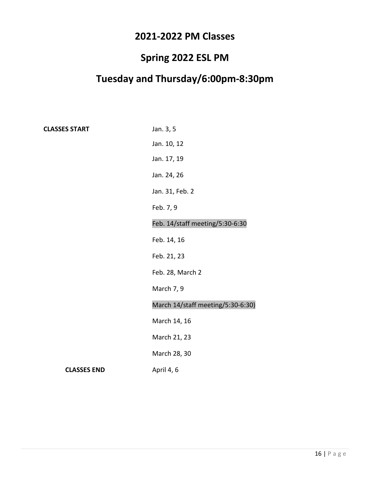### **2021-2022 PM Classes**

### **Spring 2022 ESL PM**

### **Tuesday and Thursday/6:00pm-8:30pm**

**CLASSES START** Jan. 3, 5 Jan. 10, 12 Jan. 17, 19 Jan. 24, 26 Jan. 31, Feb. 2 Feb. 7, 9 Feb. 14/staff meeting/5:30-6:30 Feb. 14, 16 Feb. 21, 23 Feb. 28, March 2 March 7, 9 March 14/staff meeting/5:30-6:30) March 14, 16 March 21, 23 March 28, 30 **CLASSES END** April 4, 6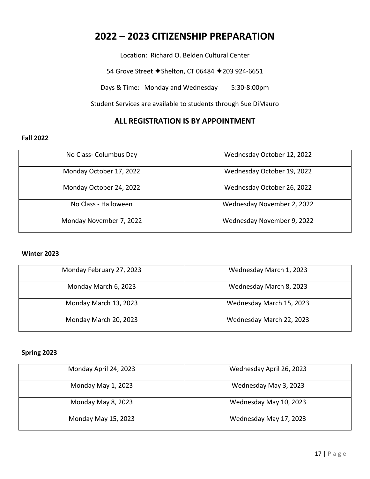### **2022 – 2023 CITIZENSHIP PREPARATION**

Location: Richard O. Belden Cultural Center

54 Grove Street ◆ Shelton, CT 06484 ◆ 203 924-6651

Days & Time: Monday and Wednesday 5:30-8:00pm

Student Services are available to students through Sue DiMauro

#### **ALL REGISTRATION IS BY APPOINTMENT**

#### **Fall 2022**

| No Class-Columbus Day   | Wednesday October 12, 2022 |
|-------------------------|----------------------------|
| Monday October 17, 2022 | Wednesday October 19, 2022 |
| Monday October 24, 2022 | Wednesday October 26, 2022 |
| No Class - Halloween    | Wednesday November 2, 2022 |
| Monday November 7, 2022 | Wednesday November 9, 2022 |

#### **Winter 2023**

| Monday February 27, 2023 | Wednesday March 1, 2023  |
|--------------------------|--------------------------|
| Monday March 6, 2023     | Wednesday March 8, 2023  |
| Monday March 13, 2023    | Wednesday March 15, 2023 |
| Monday March 20, 2023    | Wednesday March 22, 2023 |

#### **Spring 2023**

| Monday April 24, 2023 | Wednesday April 26, 2023 |
|-----------------------|--------------------------|
| Monday May 1, 2023    | Wednesday May 3, 2023    |
| Monday May 8, 2023    | Wednesday May 10, 2023   |
| Monday May 15, 2023   | Wednesday May 17, 2023   |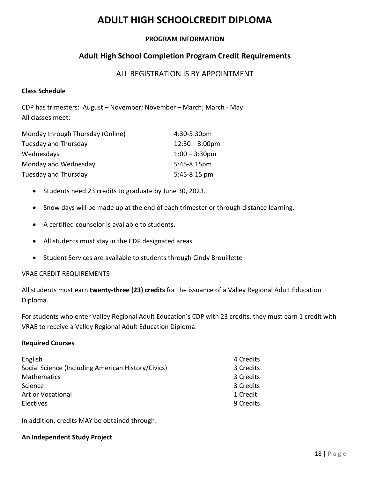### **ADULT HIGH SCHOOLCREDIT DIPLOMA**

#### **PROGRAM INFORMATION**

#### **Adult High School Completion Program Credit Requirements**

#### ALL REGISTRATION IS BY APPOINTMENT

#### **Class Schedule**

CDP has trimesters: August – November; November – March; March - May All classes meet:

| Monday through Thursday (Online) | 4:30-5:30pm              |
|----------------------------------|--------------------------|
| <b>Tuesday and Thursday</b>      | $12:30 - 3:00 \text{pm}$ |
| Wednesdays                       | $1:00 - 3:30$ pm         |
| Monday and Wednesday             | $5:45-8:15 \text{pm}$    |
| Tuesday and Thursday             | 5:45-8:15 pm             |

- Students need 23 credits to graduate by June 30, 2023.
- Snow days will be made up at the end of each trimester or through distance learning.
- A certified counselor is available to students.
- All students must stay in the CDP designated areas.
- Student Services are available to students through Cindy Brouillette

#### VRAE CREDIT REQUIREMENTS

All students must earn **twenty-three (23) credits** for the issuance of a Valley Regional Adult Education Diploma.

For students who enter Valley Regional Adult Education's CDP with 23 credits, they must earn 1 credit with VRAE to receive a Valley Regional Adult Education Diploma.

#### **Required Courses**

| English                                            | 4 Credits |
|----------------------------------------------------|-----------|
| Social Science (Including American History/Civics) | 3 Credits |
| <b>Mathematics</b>                                 | 3 Credits |
| Science                                            | 3 Credits |
| Art or Vocational                                  | 1 Credit  |
| <b>Electives</b>                                   | 9 Credits |

In addition, credits MAY be obtained through:

#### **An Independent Study Project**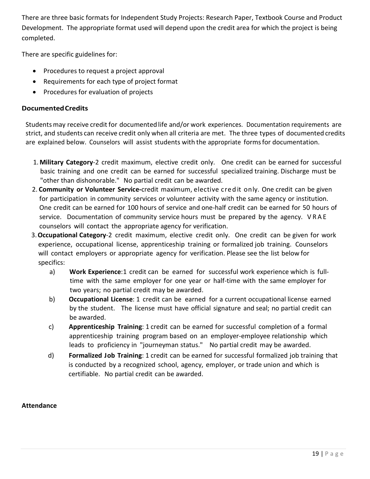There are three basic formats for Independent Study Projects: Research Paper, Textbook Course and Product Development. The appropriate format used will depend upon the credit area for which the project is being completed.

There are specific guidelines for:

- Procedures to request a project approval
- Requirements for each type of project format
- Procedures for evaluation of projects

#### **DocumentedCredits**

Studentsmay receive credit for documented life and/or work experiences. Documentation requirements are strict, and students can receive credit only when all criteria are met. The three types of documented credits are explained below. Counselors will assist students with the appropriate formsfor documentation.

- 1. **Military Category**-2 credit maximum, elective credit only. One credit can be earned for successful basic training and one credit can be earned for successful specialized training. Discharge must be "other than dishonorable." No partial credit can be awarded.
- 2. **Community or Volunteer Service-**credit maximum, elective cre d it only. One credit can be given for participation in community services or volunteer activity with the same agency or institution. One credit can be earned for 100 hours of service and one-half credit can be earned for 50 hours of service. Documentation of community service hours must be prepared by the agency. VRAE counselors will contact the appropriate agency for verification.
- 3.**Occupational Category**-2 credit maximum, elective credit only. One credit can be given for work experience, occupational license, apprenticeship training or formalized job training. Counselors will contact employers or appropriate agency for verification. Please see the list below for specifics:
	- a) Work Experience: 1 credit can be earned for successful work experience which is fulltime with the same employer for one year or half-time with the same employer for two years; no partial credit may be awarded.
	- b) **Occupational License**: 1 credit can be earned for a current occupational license earned by the student. The license must have official signature and seal; no partial credit can be awarded.
	- c) **Apprenticeship Training**: 1 credit can be earned for successful completion of a formal apprenticeship training program based on an employer-employee relationship which leads to proficiency in "journeyman status." No partial credit may be awarded.
	- d) **Formalized Job Training**: 1 credit can be earned for successful formalized job training that is conducted by a recognized school, agency, employer, or trade union and which is certifiable. No partial credit can be awarded.

#### **Attendance**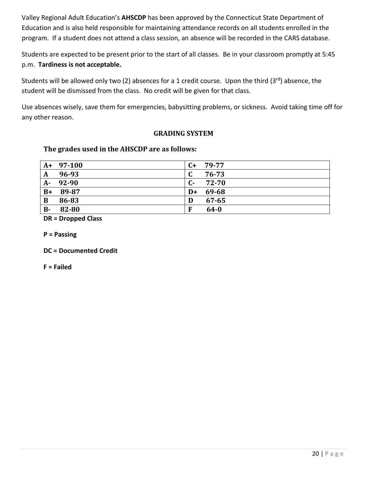Valley Regional Adult Education's **AHSCDP** has been approved by the Connecticut State Department of Education and is also held responsible for maintaining attendance records on all students enrolled in the program. If a student does not attend a class session, an absence will be recorded in the CARS database.

Students are expected to be present prior to the start of all classes. Be in your classroom promptly at 5:45 p.m. **Tardiness is not acceptable.**

Students will be allowed only two (2) absences for a 1 credit course. Upon the third (3rd) absence, the student will be dismissed from the class. No credit will be given for that class.

Use absences wisely, save them for emergencies, babysitting problems, or sickness. Avoid taking time off for any other reason.

#### **GRADING SYSTEM**

#### **The grades used in the AHSCDP are as follows:**

|              | $A+97-100$ | $C+$ | 79-77     |
|--------------|------------|------|-----------|
| $\mathbf A$  | 96-93      | C    | 76-73     |
| $A-$         | 92-90      | $C-$ | 72-70     |
| $B+$         | 89-87      | $D+$ | 69-68     |
| $\mathbf{B}$ | 86-83      | D    | $67 - 65$ |
| <b>B-</b>    | 82-80      | F    | $64 - 0$  |

**DR = Dropped Class**

**P = Passing**

**DC = Documented Credit**

**F = Failed**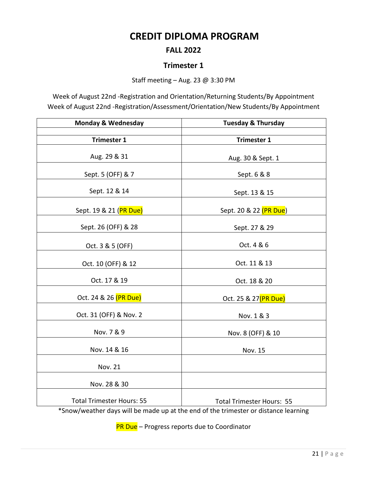### **CREDIT DIPLOMA PROGRAM**

#### **FALL 2022**

#### **Trimester 1**

Staff meeting – Aug. 23 @ 3:30 PM

Week of August 22nd -Registration and Orientation/Returning Students/By Appointment Week of August 22nd -Registration/Assessment/Orientation/New Students/By Appointment

| <b>Monday &amp; Wednesday</b>    | <b>Tuesday &amp; Thursday</b>    |  |
|----------------------------------|----------------------------------|--|
|                                  |                                  |  |
| <b>Trimester 1</b>               | <b>Trimester 1</b>               |  |
| Aug. 29 & 31                     | Aug. 30 & Sept. 1                |  |
| Sept. 5 (OFF) & 7                | Sept. 6 & 8                      |  |
| Sept. 12 & 14                    | Sept. 13 & 15                    |  |
| Sept. 19 & 21 (PR Due)           | Sept. 20 & 22 (PR Due)           |  |
| Sept. 26 (OFF) & 28              | Sept. 27 & 29                    |  |
| Oct. 3 & 5 (OFF)                 | Oct. 4 & 6                       |  |
| Oct. 10 (OFF) & 12               | Oct. 11 & 13                     |  |
| Oct. 17 & 19                     | Oct. 18 & 20                     |  |
| Oct. 24 & 26 (PR Due)            | Oct. 25 & 27(PR Due)             |  |
| Oct. 31 (OFF) & Nov. 2           | Nov. 1 & 3                       |  |
| Nov. 7 & 9                       | Nov. 8 (OFF) & 10                |  |
| Nov. 14 & 16                     | Nov. 15                          |  |
| Nov. 21                          |                                  |  |
| Nov. 28 & 30                     |                                  |  |
| <b>Total Trimester Hours: 55</b> | <b>Total Trimester Hours: 55</b> |  |

\*Snow/weather days will be made up at the end of the trimester or distance learning

PR Due - Progress reports due to Coordinator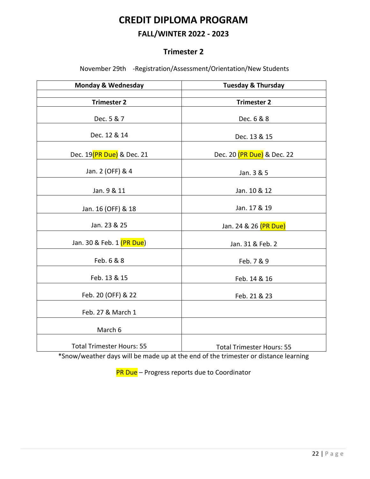### **CREDIT DIPLOMA PROGRAM**

#### **FALL/WINTER 2022 - 2023**

#### **Trimester 2**

November 29th -Registration/Assessment/Orientation/New Students

| <b>Monday &amp; Wednesday</b>    | <b>Tuesday &amp; Thursday</b>      |
|----------------------------------|------------------------------------|
|                                  |                                    |
| <b>Trimester 2</b>               | <b>Trimester 2</b>                 |
| Dec. 5 & 7                       | Dec. 6 & 8                         |
| Dec. 12 & 14                     | Dec. 13 & 15                       |
| Dec. 19(PR Due) & Dec. 21        | Dec. 20 (PR Due) & Dec. 22         |
| Jan. 2 (OFF) & 4                 | Jan. 3 & 5                         |
| Jan. 9 & 11                      | Jan. 10 & 12                       |
| Jan. 16 (OFF) & 18               | Jan. 17 & 19                       |
| Jan. 23 & 25                     | Jan. 24 & 26 <mark>(PR Due)</mark> |
| Jan. 30 & Feb. 1 (PR Due)        | Jan. 31 & Feb. 2                   |
| Feb. 6 & 8                       | Feb. 7 & 9                         |
| Feb. 13 & 15                     | Feb. 14 & 16                       |
| Feb. 20 (OFF) & 22               | Feb. 21 & 23                       |
| Feb. 27 & March 1                |                                    |
| March 6                          |                                    |
| <b>Total Trimester Hours: 55</b> | <b>Total Trimester Hours: 55</b>   |

\*Snow/weather days will be made up at the end of the trimester or distance learning

PR Due - Progress reports due to Coordinator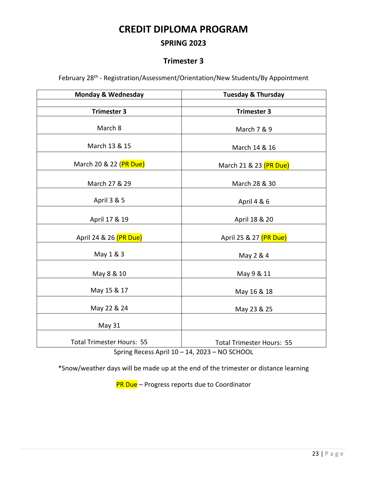### **CREDIT DIPLOMA PROGRAM**

#### **SPRING 2023**

#### **Trimester 3**

February 28<sup>th</sup> - Registration/Assessment/Orientation/New Students/By Appointment

| <b>Monday &amp; Wednesday</b>    | <b>Tuesday &amp; Thursday</b>    |
|----------------------------------|----------------------------------|
|                                  |                                  |
| <b>Trimester 3</b>               | <b>Trimester 3</b>               |
| March 8                          | March 7 & 9                      |
| March 13 & 15                    | March 14 & 16                    |
| March 20 & 22 (PR Due)           | March 21 & 23 (PR Due)           |
| March 27 & 29                    | March 28 & 30                    |
| April 3 & 5                      | April 4 & 6                      |
| April 17 & 19                    | April 18 & 20                    |
| April 24 & 26 (PR Due)           | April 25 & 27 (PR Due)           |
| May 1 & 3                        | May 2 & 4                        |
| May 8 & 10                       | May 9 & 11                       |
| May 15 & 17                      | May 16 & 18                      |
| May 22 & 24                      | May 23 & 25                      |
| May 31                           |                                  |
| <b>Total Trimester Hours: 55</b> | <b>Total Trimester Hours: 55</b> |

Spring Recess April 10 – 14, 2023 – NO SCHOOL

\*Snow/weather days will be made up at the end of the trimester or distance learning

PR Due - Progress reports due to Coordinator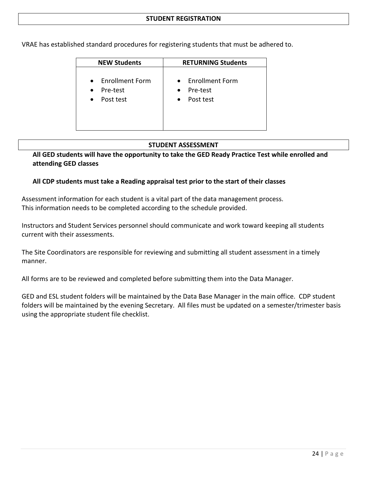VRAE has established standard procedures for registering students that must be adhered to.

| <b>NEW Students</b>                                                                    | <b>RETURNING Students</b>                                            |
|----------------------------------------------------------------------------------------|----------------------------------------------------------------------|
| <b>Enrollment Form</b><br>$\bullet$<br>Pre-test<br>$\bullet$<br>Post test<br>$\bullet$ | • Enrollment Form<br>Pre-test<br>$\bullet$<br>Post test<br>$\bullet$ |

#### **STUDENT ASSESSMENT**

**All GED students will have the opportunity to take the GED Ready Practice Test while enrolled and attending GED classes**

#### **All CDP students must take a Reading appraisal test prior to the start of their classes**

Assessment information for each student is a vital part of the data management process. This information needs to be completed according to the schedule provided.

Instructors and Student Services personnel should communicate and work toward keeping all students current with their assessments.

The Site Coordinators are responsible for reviewing and submitting all student assessment in a timely manner.

All forms are to be reviewed and completed before submitting them into the Data Manager.

GED and ESL student folders will be maintained by the Data Base Manager in the main office. CDP student folders will be maintained by the evening Secretary. All files must be updated on a semester/trimester basis using the appropriate student file checklist.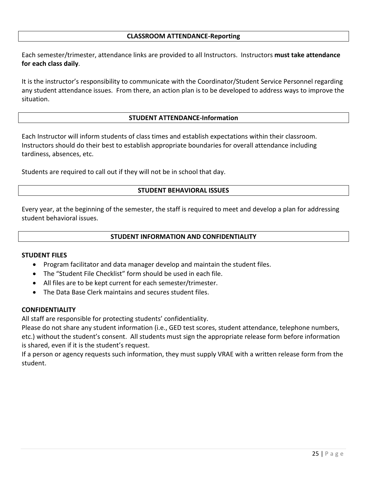#### **CLASSROOM ATTENDANCE-Reporting**

Each semester/trimester, attendance links are provided to all Instructors. Instructors **must take attendance for each class daily**.

It is the instructor's responsibility to communicate with the Coordinator/Student Service Personnel regarding any student attendance issues. From there, an action plan is to be developed to address ways to improve the situation.

#### **STUDENT ATTENDANCE-Information**

Each Instructor will inform students of class times and establish expectations within their classroom. Instructors should do their best to establish appropriate boundaries for overall attendance including tardiness, absences, etc.

Students are required to call out if they will not be in school that day.

#### **STUDENT BEHAVIORAL ISSUES**

Every year, at the beginning of the semester, the staff is required to meet and develop a plan for addressing student behavioral issues.

#### **STUDENT INFORMATION AND CONFIDENTIALITY**

#### **STUDENT FILES**

- Program facilitator and data manager develop and maintain the student files.
- The "Student File Checklist" form should be used in each file.
- All files are to be kept current for each semester/trimester.
- The Data Base Clerk maintains and secures student files.

#### **CONFIDENTIALITY**

All staff are responsible for protecting students' confidentiality.

Please do not share any student information (i.e., GED test scores, student attendance, telephone numbers, etc.) without the student's consent. All students must sign the appropriate release form before information is shared, even if it is the student's request.

If a person or agency requests such information, they must supply VRAE with a written release form from the student.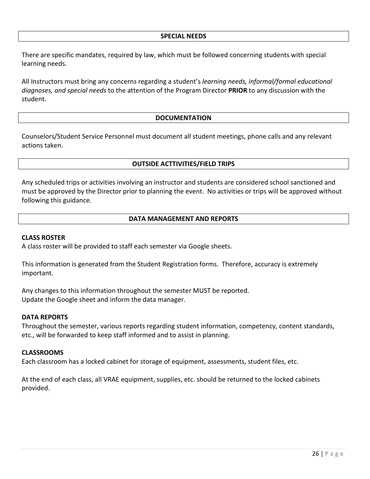#### **SPECIAL NEEDS**

There are specific mandates, required by law, which must be followed concerning students with special learning needs.

All Instructors must bring any concerns regarding a student's *learning needs, informal/formal educational diagnoses, and special needs* to the attention of the Program Director **PRIOR** to any discussion with the student.

#### **DOCUMENTATION**

Counselors/Student Service Personnel must document all student meetings, phone calls and any relevant actions taken.

#### **OUTSIDE ACTTIVITIES/FIELD TRIPS**

Any scheduled trips or activities involving an instructor and students are considered school sanctioned and must be approved by the Director prior to planning the event. No activities or trips will be approved without following this guidance.

#### **DATA MANAGEMENT AND REPORTS**

#### **CLASS ROSTER**

A class roster will be provided to staff each semester via Google sheets.

This information is generated from the Student Registration forms. Therefore, accuracy is extremely important.

Any changes to this information throughout the semester MUST be reported. Update the Google sheet and inform the data manager.

#### **DATA REPORTS**

Throughout the semester, various reports regarding student information, competency, content standards, etc., will be forwarded to keep staff informed and to assist in planning.

#### **CLASSROOMS**

Each classroom has a locked cabinet for storage of equipment, assessments, student files, etc.

At the end of each class, all VRAE equipment, supplies, etc. should be returned to the locked cabinets provided.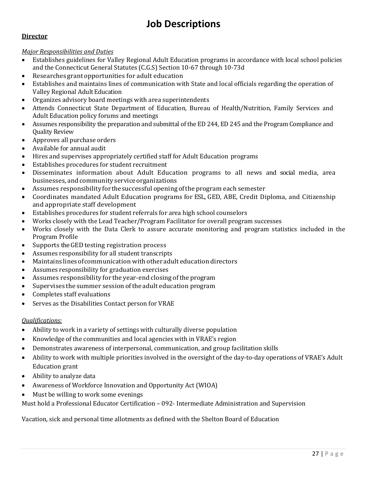### **Job Descriptions**

#### **Director**

#### *Major Responsibilities and Duties*

- Establishes guidelines for Valley Regional Adult Education programs in accordance with local school policies and the Connecticut General Statutes (C.G.S) Section 10-67 through 10-73d
- Researches grant opportunities for adult education
- Establishes and maintains lines of communication with State and local officials regarding the operation of Valley Regional AdultEducation
- Organizes advisory board meetings with area superintendents
- Attends Connecticut State Department of Education, Bureau of Health/Nutrition, Family Services and Adult Education policy forums and meetings
- Assumes responsibility the preparation and submittal of the ED 244, ED 245 and the Program Compliance and Quality Review
- Approves all purchase orders
- Available for annual audit
- Hires and supervises appropriately certified staff for Adult Education programs
- Establishes procedures for student recruitment
- Disseminates information about Adult Education programs to all news and social media, area businesses, and community service organizations
- Assumes responsibility for the successful opening of the program each semester
- Coordinates mandated Adult Education programs for ESL, GED, ABE, Credit Diploma, and Citizenship and appropriate staff development
- Establishes procedures for student referrals for area high school counselors
- Works closely with the Lead Teacher/Program Facilitator for overall program successes
- Works closely with the Data Clerk to assure accurate monitoring and program statistics included in the Program Profile
- Supports the GED testing registration process
- Assumes responsibility for all student transcripts
- Maintains linesofcommunication with otheradult education directors
- Assumes responsibility for graduation exercises
- Assumes responsibility for the year-end closing of the program
- Supervises the summer session oftheadult education program
- Completes staff evaluations
- Serves as the Disabilities Contact person for VRAE

#### *Qualifications:*

- Ability to work in a variety of settings with culturally diverse population
- Knowledge of the communities and local agencies with in VRAE's region
- Demonstrates awareness of interpersonal, communication, and group facilitation skills
- Ability to work with multiple priorities involved in the oversight of the day-to-day operations of VRAE's Adult Education grant
- Ability to analyze data
- Awareness of Workforce Innovation and Opportunity Act (WIOA)
- Must be willing to work some evenings

Must hold a Professional Educator Certification – 092- Intermediate Administration and Supervision

Vacation, sick and personal time allotments as defined with the Shelton Board of Education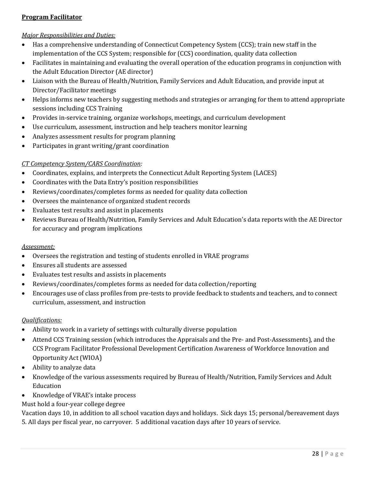#### **Program Facilitator**

#### *Major Responsibilities and Duties:*

- Has a comprehensive understanding of Connecticut Competency System (CCS); train new staff in the implementation of the CCS System; responsible for (CCS) coordination, quality data collection
- Facilitates in maintaining and evaluating the overall operation of the education programs in conjunction with the Adult Education Director (AE director)
- Liaison with the Bureau of Health/Nutrition, Family Services and Adult Education, and provide input at Director/Facilitator meetings
- Helps informs new teachers by suggesting methods and strategies or arranging for them to attend appropriate sessions including CCS Training
- Provides in-service training, organize workshops, meetings, and curriculum development
- Use curriculum, assessment, instruction and help teachers monitor learning
- Analyzes assessment results for program planning
- Participates in grant writing/grant coordination

#### *CT Competency System/CARS Coordination:*

- Coordinates, explains, and interprets the Connecticut Adult Reporting System (LACES)
- Coordinates with the Data Entry's position responsibilities
- Reviews/coordinates/completes forms as needed for quality data collection
- Oversees the maintenance of organized student records
- Evaluates test results and assist in placements
- Reviews Bureau of Health/Nutrition, Family Services and Adult Education's data reports with the AE Director for accuracy and program implications

#### *Assessment:*

- Oversees the registration and testing of students enrolled in VRAE programs
- Ensures all students are assessed
- Evaluates test results and assists in placements
- Reviews/coordinates/completes forms as needed for data collection/reporting
- Encourages use of class profiles from pre-tests to provide feedback to students and teachers, and to connect curriculum, assessment, and instruction

#### *Qualifications:*

- Ability to work in a variety of settings with culturally diverse population
- Attend CCS Training session (which introduces the Appraisals and the Pre- and Post-Assessments), and the CCS Program Facilitator Professional Development Certification Awareness of Workforce Innovation and Opportunity Act (WIOA)
- Ability to analyze data
- Knowledge of the various assessments required by Bureau of Health/Nutrition, Family Services and Adult Education
- Knowledge of VRAE's intake process

Must hold a four-year college degree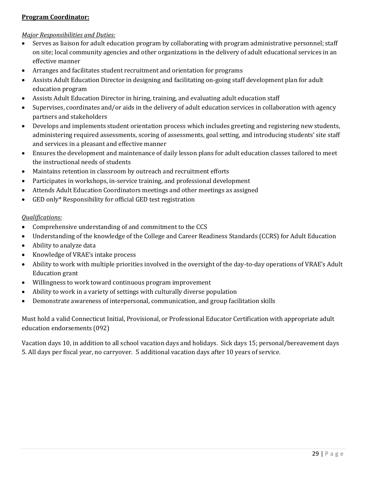#### **Program Coordinator:**

#### *Major Responsibilities and Duties:*

- Serves as liaison for adult education program by collaborating with program administrative personnel; staff on site; local community agencies and other organizations in the delivery of adult educational services in an effective manner
- Arranges and facilitates student recruitment and orientation for programs
- Assists Adult Education Director in designing and facilitating on-going staff development plan for adult education program
- Assists Adult Education Director in hiring, training, and evaluating adult education staff
- Supervises, coordinates and/or aids in the delivery of adult education services in collaboration with agency partners and stakeholders
- Develops and implements student orientation process which includes greeting and registering new students, administering required assessments, scoring of assessments, goal setting, and introducing students' site staff and services in a pleasant and effective manner
- Ensures the development and maintenance of daily lesson plans for adult education classes tailored to meet the instructional needs of students
- Maintains retention in classroom by outreach and recruitment efforts
- Participates in workshops, in-service training, and professional development
- Attends Adult Education Coordinators meetings and other meetings as assigned
- GED only\* Responsibility for official GED test registration

#### *Qualifications:*

- Comprehensive understanding of and commitment to the CCS
- Understanding of the knowledge of the College and Career Readiness Standards (CCRS) for Adult Education
- Ability to analyze data
- Knowledge of VRAE's intake process
- Ability to work with multiple priorities involved in the oversight of the day-to-day operations of VRAE's Adult Education grant
- Willingness to work toward continuous program improvement
- Ability to work in a variety of settings with culturally diverse population
- Demonstrate awareness of interpersonal, communication, and group facilitation skills

Must hold a valid Connecticut Initial, Provisional, or Professional Educator Certification with appropriate adult education endorsements (092)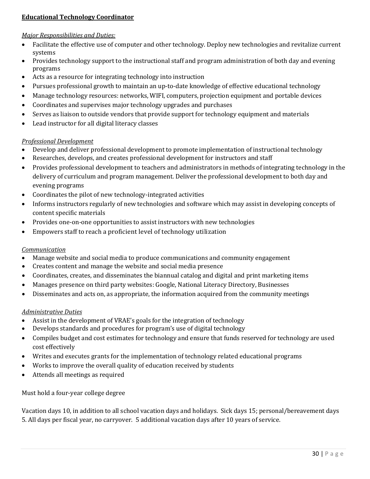#### **Educational Technology Coordinator**

#### *Major Responsibilities and Duties:*

- Facilitate the effective use of computer and other technology. Deploy new technologies and revitalize current systems
- Provides technology support to the instructional staff and program administration of both day and evening programs
- Acts as a resource for integrating technology into instruction
- Pursues professional growth to maintain an up-to-date knowledge of effective educational technology
- Manage technology resources: networks, WIFI, computers, projection equipment and portable devices
- Coordinates and supervises major technology upgrades and purchases
- Serves as liaison to outside vendors that provide support for technology equipment and materials
- Lead instructor for all digital literacy classes

#### *Professional Development*

- Develop and deliver professional development to promote implementation of instructional technology
- Researches, develops, and creates professional development for instructors and staff
- Provides professional development to teachers and administrators in methods of integrating technology in the delivery of curriculum and program management. Deliver the professional development to both day and evening programs
- Coordinates the pilot of new technology-integrated activities
- Informs instructors regularly of new technologies and software which may assist in developing concepts of content specific materials
- Provides one-on-one opportunities to assist instructors with new technologies
- Empowers staff to reach a proficient level of technology utilization

#### *Communication*

- Manage website and social media to produce communications and community engagement
- Creates content and manage the website and social media presence
- Coordinates, creates, and disseminates the biannual catalog and digital and print marketing items
- Manages presence on third party websites: Google, National Literacy Directory, Businesses
- Disseminates and acts on, as appropriate, the information acquired from the community meetings

#### *Administrative Duties*

- Assist in the development of VRAE's goals for the integration of technology
- Develops standards and procedures for program's use of digital technology
- Compiles budget and cost estimates for technology and ensure that funds reserved for technology are used cost effectively
- Writes and executes grants for the implementation of technology related educational programs
- Works to improve the overall quality of education received by students
- Attends all meetings as required

Must hold a four-year college degree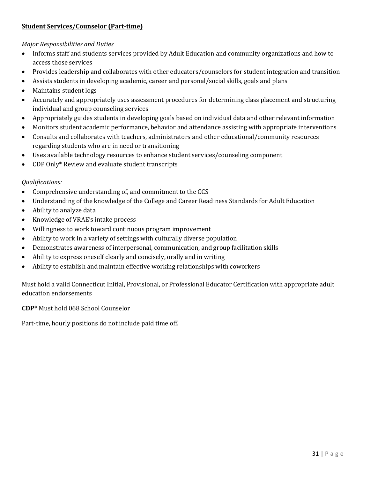#### **Student Services/Counselor (Part-time)**

#### *Major Responsibilities and Duties*

- Informs staff and students services provided by Adult Education and community organizations and how to access those services
- Provides leadership and collaborates with other educators/counselors for student integration and transition
- Assists students in developing academic, career and personal/social skills, goals and plans
- Maintains student logs
- Accurately and appropriately uses assessment procedures for determining class placement and structuring individual and group counseling services
- Appropriately guides students in developing goals based on individual data and other relevant information
- Monitors student academic performance, behavior and attendance assisting with appropriate interventions
- Consults and collaborates with teachers, administrators and other educational/community resources regarding students who are in need or transitioning
- Uses available technology resources to enhance student services/counseling component
- CDP Only\* Review and evaluate student transcripts

#### *Qualifications:*

- Comprehensive understanding of, and commitment to the CCS
- Understanding of the knowledge of the College and Career Readiness Standards for Adult Education
- Ability to analyze data
- Knowledge of VRAE's intake process
- Willingness to work toward continuous program improvement
- Ability to work in a variety of settings with culturally diverse population
- Demonstrates awareness of interpersonal, communication, and group facilitation skills
- Ability to express oneself clearly and concisely, orally and in writing
- Ability to establish and maintain effective working relationships with coworkers

Must hold a valid Connecticut Initial, Provisional, or Professional Educator Certification with appropriate adult education endorsements

**CDP\*** Must hold 068 School Counselor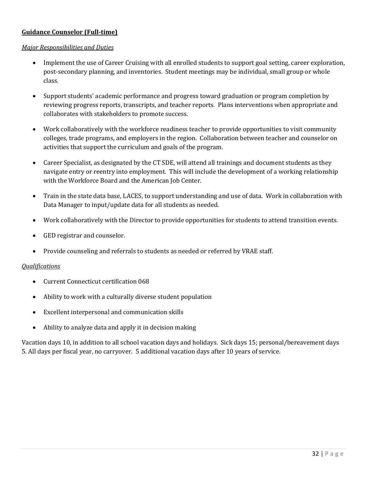#### **Guidance Counselor (Full-time)**

#### *Major Responsibilities and Duties*

- Implement the use of Career Cruising with all enrolled students to support goal setting, career exploration, post-secondary planning, and inventories. Student meetings may be individual, small group or whole class.
- Support students' academic performance and progress toward graduation or program completion by reviewing progress reports, transcripts, and teacher reports. Plans interventions when appropriate and collaborates with stakeholders to promote success.
- Work collaboratively with the workforce readiness teacher to provide opportunities to visit community colleges, trade programs, and employers in the region. Collaboration between teacher and counselor on activities that support the curriculum and goals of the program.
- Career Specialist, as designated by the CT SDE, will attend all trainings and document students as they navigate entry or reentry into employment. This will include the development of a working relationship with the Workforce Board and the American Job Center.
- Train in the state data base, LACES, to support understanding and use of data. Work in collaboration with Data Manager to input/update data for all students as needed.
- Work collaboratively with the Director to provide opportunities for students to attend transition events.
- GED registrar and counselor.
- Provide counseling and referrals to students as needed or referred by VRAE staff.

#### *Qualifications*

- Current Connecticut certification 068
- Ability to work with a culturally diverse student population
- Excellent interpersonal and communication skills
- Ability to analyze data and apply it in decision making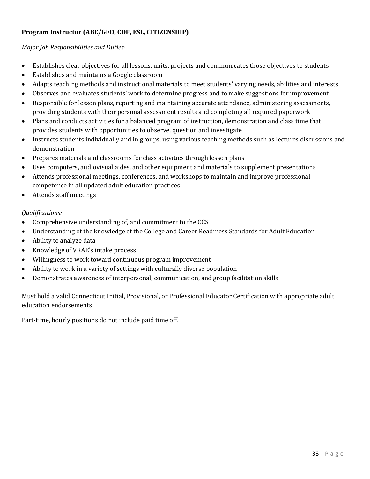#### **Program Instructor (ABE/GED, CDP, ESL, CITIZENSHIP)**

#### *Major Job Responsibilities and Duties:*

- Establishes clear objectives for all lessons, units, projects and communicates those objectives to students
- Establishes and maintains a Google classroom
- Adapts teaching methods and instructional materials to meet students' varying needs, abilities and interests
- Observes and evaluates students' work to determine progress and to make suggestions for improvement
- Responsible for lesson plans, reporting and maintaining accurate attendance, administering assessments, providing students with their personal assessment results and completing all required paperwork
- Plans and conducts activities for a balanced program of instruction, demonstration and class time that provides students with opportunities to observe, question and investigate
- Instructs students individually and in groups, using various teaching methods such as lectures discussions and demonstration
- Prepares materials and classrooms for class activities through lesson plans
- Uses computers, audiovisual aides, and other equipment and materials to supplement presentations
- Attends professional meetings, conferences, and workshops to maintain and improve professional competence in all updated adult education practices
- Attends staff meetings

#### *Qualifications:*

- Comprehensive understanding of, and commitment to the CCS
- Understanding of the knowledge of the College and Career Readiness Standards for Adult Education
- Ability to analyze data
- Knowledge of VRAE's intake process
- Willingness to work toward continuous program improvement
- Ability to work in a variety of settings with culturally diverse population
- Demonstrates awareness of interpersonal, communication, and group facilitation skills

Must hold a valid Connecticut Initial, Provisional, or Professional Educator Certification with appropriate adult education endorsements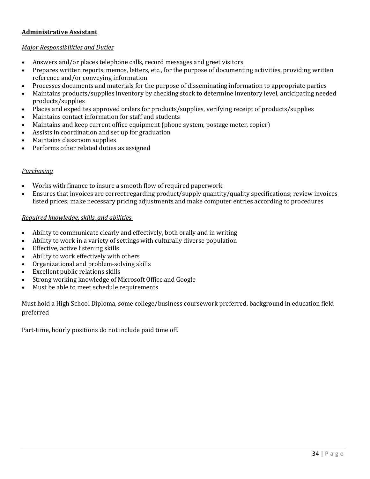#### **Administrative Assistant**

#### *Major Responsibilities and Duties*

- Answers and/or places telephone calls, record messages and greet visitors
- Prepares written reports, memos, letters, etc., for the purpose of documenting activities, providing written reference and/or conveying information
- Processes documents and materials for the purpose of disseminating information to appropriate parties
- Maintains products/supplies inventory by checking stock to determine inventory level, anticipating needed products/supplies
- Places and expedites approved orders for products/supplies, verifying receipt of products/supplies
- Maintains contact information for staff and students
- Maintains and keep current office equipment (phone system, postage meter, copier)
- Assists in coordination and set up for graduation
- Maintains classroom supplies
- Performs other related duties as assigned

#### *Purchasing*

- Works with finance to insure a smooth flow of required paperwork
- Ensures that invoices are correct regarding product/supply quantity/quality specifications; review invoices listed prices; make necessary pricing adjustments and make computer entries according to procedures

#### *Required knowledge, skills, and abilities*

- Ability to communicate clearly and effectively, both orally and in writing
- Ability to work in a variety of settings with culturally diverse population
- Effective, active listening skills
- Ability to work effectively with others
- Organizational and problem-solving skills
- Excellent public relations skills
- Strong working knowledge of Microsoft Office and Google
- Must be able to meet schedule requirements

Must hold a High School Diploma, some college/business coursework preferred, background in education field preferred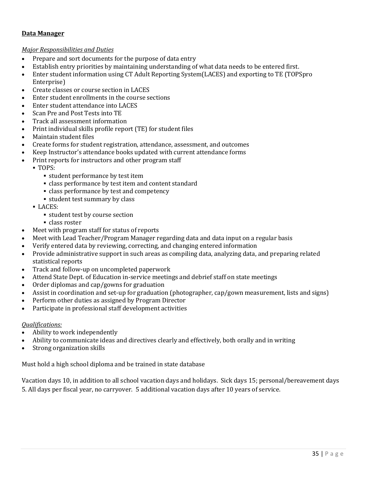#### **Data Manager**

#### *Major Responsibilities and Duties*

- Prepare and sort documents for the purpose of data entry
- Establish entry priorities by maintaining understanding of what data needs to be entered first.
- Enter student information using CT Adult Reporting System(LACES) and exporting to TE (TOPSpro Enterprise)
- Create classes or course section in LACES
- Enter student enrollments in the course sections
- Enter student attendance into LACES
- Scan Pre and Post Tests into TE
- Track all assessment information
- Print individual skills profile report (TE) for student files
- Maintain student files
- Create forms for student registration, attendance, assessment, and outcomes
- Keep Instructor's attendance books updated with current attendance forms
- Print reports for instructors and other program staff
	- TOPS:
		- student performance by test item
		- class performance by test item and content standard
		- class performance by test and competency
		- student test summary by class
	- LACES:
		- student test by course section
		- class roster
- Meet with program staff for status of reports
- Meet with Lead Teacher/Program Manager regarding data and data input on a regular basis
- Verify entered data by reviewing, correcting, and changing entered information
- Provide administrative support in such areas as compiling data, analyzing data, and preparing related statistical reports
- Track and follow-up on uncompleted paperwork
- Attend State Dept. of Education in-service meetings and debrief staff on state meetings
- Order diplomas and cap/gowns for graduation
- Assist in coordination and set-up for graduation (photographer, cap/gown measurement, lists and signs)
- Perform other duties as assigned by Program Director
- Participate in professional staff development activities

#### *Qualifications:*

- Ability to work independently
- Ability to communicate ideas and directives clearly and effectively, both orally and in writing
- Strong organization skills

Must hold a high school diploma and be trained in state database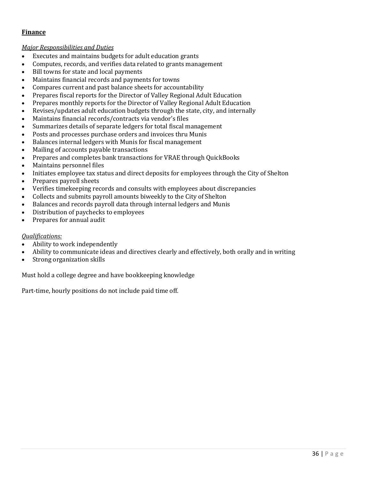#### **Finance**

#### *Major Responsibilities and Duties*

- Executes and maintains budgets for adult education grants
- Computes, records, and verifies data related to grants management
- Bill towns for state and local payments
- Maintains financial records and payments for towns
- Compares current and past balance sheets for accountability
- Prepares fiscal reports for the Director of Valley Regional Adult Education
- Prepares monthly reports for the Director of Valley Regional Adult Education
- Revises/updates adult education budgets through the state, city, and internally
- Maintains financial records/contracts via vendor's files
- Summarizes details of separate ledgers for total fiscal management
- Posts and processes purchase orders and invoices thru Munis
- Balances internal ledgers with Munis for fiscal management
- Mailing of accounts payable transactions
- Prepares and completes bank transactions for VRAE through QuickBooks
- Maintains personnel files
- Initiates employee tax status and direct deposits for employees through the City of Shelton
- Prepares payroll sheets
- Verifies timekeeping records and consults with employees about discrepancies
- Collects and submits payroll amounts biweekly to the City of Shelton
- Balances and records payroll data through internal ledgers and Munis
- Distribution of paychecks to employees
- Prepares for annual audit

#### *Qualifications:*

- Ability to work independently
- Ability to communicate ideas and directives clearly and effectively, both orally and in writing
- Strong organization skills

Must hold a college degree and have bookkeeping knowledge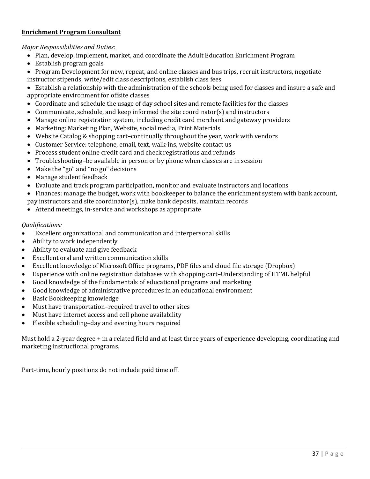#### **Enrichment Program Consultant**

#### *Major Responsibilities and Duties:*

- Plan, develop, implement, market, and coordinate the Adult Education Enrichment Program
- Establish program goals
- Program Development for new, repeat, and online classes and bus trips, recruit instructors, negotiate instructor stipends, write/edit class descriptions, establish class fees

• Establish a relationship with the administration of the schools being used for classes and insure a safe and appropriate environment for offsite classes

- Coordinate and schedule the usage of day school sites and remote facilities for the classes
- Communicate, schedule, and keep informed the site coordinator(s) and instructors
- Manage online registration system, including credit card merchant and gateway providers
- Marketing: Marketing Plan, Website, social media, Print Materials
- Website Catalog & shopping cart–continually throughout the year, work with vendors
- Customer Service: telephone, email, text, walk-ins, website contact us
- Process student online credit card and check registrations and refunds
- Troubleshooting–be available in person or by phone when classes are in session
- Make the "go" and "no go" decisions
- Manage student feedback
- Evaluate and track program participation, monitor and evaluate instructors and locations
- Finances: manage the budget, work with bookkeeper to balance the enrichment system with bank account,
- pay instructors and site coordinator(s), make bank deposits, maintain records
- Attend meetings, in-service and workshops as appropriate

#### *Qualifications:*

- Excellent organizational and communication and interpersonal skills
- Ability to work independently
- Ability to evaluate and give feedback
- Excellent oral and written communication skills
- Excellent knowledge of Microsoft Office programs, PDF files and cloud file storage (Dropbox)
- Experience with online registration databases with shopping cart–Understanding of HTML helpful
- Good knowledge of the fundamentals of educational programs and marketing
- Good knowledge of administrative procedures in an educational environment
- Basic Bookkeeping knowledge
- Must have transportation–required travel to other sites
- Must have internet access and cell phone availability
- Flexible scheduling–day and evening hours required

Must hold a 2-year degree + in a related field and at least three years of experience developing, coordinating and marketing instructional programs.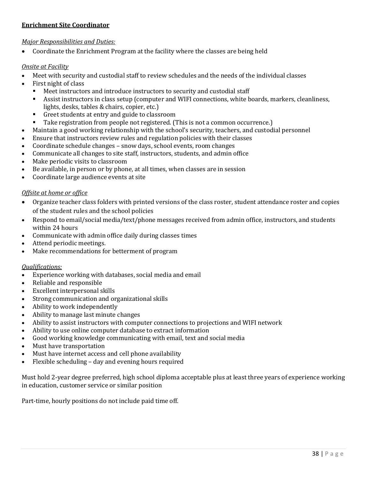#### **Enrichment Site Coordinator**

#### *Major Responsibilities and Duties:*

• Coordinate the Enrichment Program at the facility where the classes are being held

#### *Onsite at Facility*

- Meet with security and custodial staff to review schedules and the needs of the individual classes<br>• First night of class
- First night of class
	- Meet instructors and introduce instructors to security and custodial staff<br>■ Assist instructors in class setun (computer and WIFI connections, white h
	- Assist instructors in class setup (computer and WIFI connections, white boards, markers, cleanliness, lights, desks, tables & chairs, copier, etc.)
	- Greet students at entry and guide to classroom
	- Take registration from people not registered. (This is not a common occurrence.)
- Maintain a good working relationship with the school's security, teachers, and custodial personnel
- Ensure that instructors review rules and regulation policies with their classes
- Coordinate schedule changes snow days, school events, room changes
- Communicate all changes to site staff, instructors, students, and admin office
- Make periodic visits to classroom
- Be available, in person or by phone, at all times, when classes are in session
- Coordinate large audience events at site

#### *Offsite at home or office*

- Organize teacher class folders with printed versions of the class roster, student attendance roster and copies of the student rules and the school policies
- Respond to email/social media/text/phone messages received from admin office, instructors, and students within 24 hours
- Communicate with admin office daily during classes times
- Attend periodic meetings.
- Make recommendations for betterment of program

#### *Qualifications:*

- Experience working with databases, social media and email
- Reliable and responsible
- Excellent interpersonal skills
- Strong communication and organizational skills
- Ability to work independently
- Ability to manage last minute changes
- Ability to assist instructors with computer connections to projections and WIFI network
- Ability to use online computer database to extract information
- Good working knowledge communicating with email, text and social media
- Must have transportation
- Must have internet access and cell phone availability
- Flexible scheduling day and evening hours required

Must hold 2-year degree preferred, high school diploma acceptable plus at least three years of experience working in education, customer service or similar position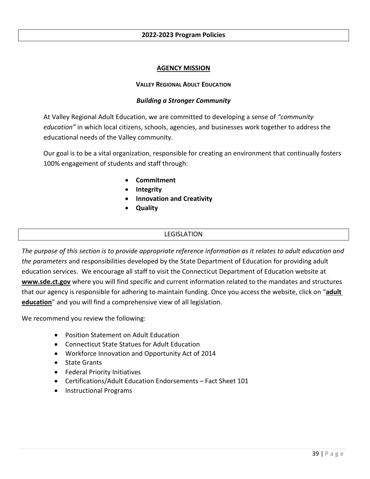#### **2022-2023 Program Policies**

#### **AGENCY MISSION**

#### **VALLEY REGIONAL ADULT EDUCATION**

#### *Building a Stronger Community*

At Valley Regional Adult Education, we are committed to developing a sense of *"community education"* in which local citizens, schools, agencies, and businesses work together to address the educational needs of the Valley community.

Our goal is to be a vital organization, responsible for creating an environment that continually fosters 100% engagement of students and staff through:

- **Commitment**
- **Integrity**
- **Innovation and Creativity**
- **Quality**

#### LEGISLATION

*The purpose of this section is to provide appropriate reference information as it relates to adult education and the parameters* and responsibilities developed by the State Department of Education for providing adult education services. We encourage all staff to visit the Connecticut Department of Education website at **[www.sde.ct.gov](http://www.sde.ct.gov/)** where you will find specific and current information related to the mandates and structures that our agency is responsible for adhering to maintain funding. Once you access the website, click on "**adult education**" and you will find a comprehensive view of all legislation.

We recommend you review the following:

- Position Statement on Adult Education
- Connecticut State Statues for Adult Education
- Workforce Innovation and Opportunity Act of 2014
- State Grants
- Federal Priority Initiatives
- Certifications/Adult Education Endorsements Fact Sheet 101
- Instructional Programs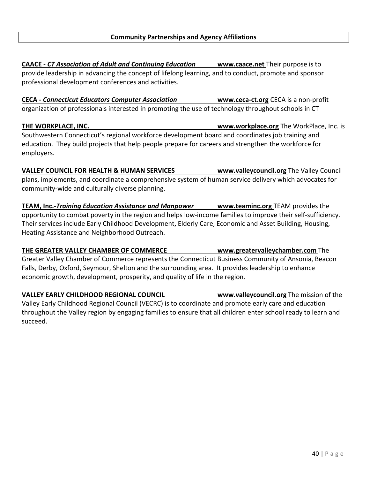**CAACE -** *CT Association of Adult and Continuing Education* **[www.caace.net](http://www.caace.net/)** Their purpose is to provide leadership in advancing the concept of lifelong learning, and to conduct, promote and sponsor professional development conferences and activities.

**CECA - Connecticut Educators Computer Association <b>WWW.ceca-ct.org** CECA is a non-profit organization of professionals interested in promoting the use of technology throughout schools in CT

**THE WORKPLACE, INC. [www.workplace.org](http://www.workplace.org/)** The WorkPlace, Inc. is Southwestern Connecticut's regional workforce development board and coordinates job training and education. They build projects that help people prepare for careers and strengthen the workforce for employers.

**VALLEY COUNCIL FOR HEALTH & HUMAN SERVICES [www.valleycouncil.org](http://www.valleycouncil.org/)** The Valley Council plans, implements, and coordinate a comprehensive system of human service delivery which advocates for community-wide and culturally diverse planning.

**TEAM, Inc.-***Training Education Assistance and Manpower* **[www.teaminc.org](http://www.teaminc.org/)** TEAM provides the opportunity to combat poverty in the region and helps low-income families to improve their self-sufficiency. Their services include Early Childhood Development, Elderly Care, Economic and Asset Building, Housing, Heating Assistance and Neighborhood Outreach.

**THE GREATER VALLEY CHAMBER OF COMMERCE [www.greatervalleychamber.com](http://www.greatervalleychamber.com/)** The Greater Valley Chamber of Commerce represents the Connecticut Business Community of Ansonia, Beacon Falls, Derby, Oxford, Seymour, Shelton and the surrounding area. It provides leadership to enhance economic growth, development, prosperity, and quality of life in the region.

**VALLEY EARLY CHILDHOOD REGIONAL COUNCIL [www.valleycouncil.org](http://www.valleycouncil.org/)** The mission of the Valley Early Childhood Regional Council (VECRC) is to coordinate and promote early care and education throughout the Valley region by engaging families to ensure that all children enter school ready to learn and succeed.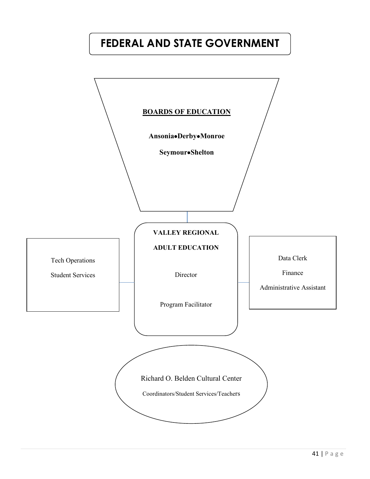# **FEDERAL AND STATE GOVERNMENT**

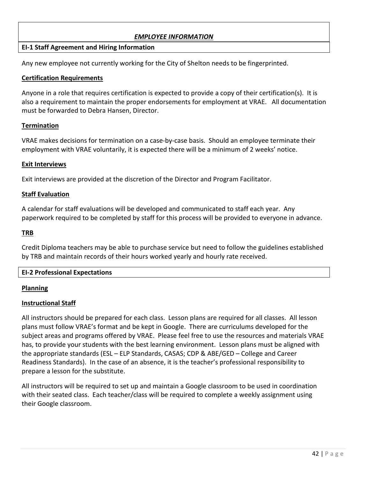#### *EMPLOYEE INFORMATION*

#### **EI-1 Staff Agreement and Hiring Information**

Any new employee not currently working for the City of Shelton needs to be fingerprinted.

#### **Certification Requirements**

Anyone in a role that requires certification is expected to provide a copy of their certification(s). It is also a requirement to maintain the proper endorsements for employment at VRAE. All documentation must be forwarded to Debra Hansen, Director.

#### **Termination**

VRAE makes decisions for termination on a case-by-case basis. Should an employee terminate their employment with VRAE voluntarily, it is expected there will be a minimum of 2 weeks' notice.

#### **Exit Interviews**

Exit interviews are provided at the discretion of the Director and Program Facilitator.

#### **Staff Evaluation**

A calendar for staff evaluations will be developed and communicated to staff each year. Any paperwork required to be completed by staff for this process will be provided to everyone in advance.

#### **TRB**

Credit Diploma teachers may be able to purchase service but need to follow the guidelines established by TRB and maintain records of their hours worked yearly and hourly rate received.

#### **EI-2 Professional Expectations**

#### **Planning**

#### **Instructional Staff**

All instructors should be prepared for each class. Lesson plans are required for all classes. All lesson plans must follow VRAE's format and be kept in Google. There are curriculums developed for the subject areas and programs offered by VRAE. Please feel free to use the resources and materials VRAE has, to provide your students with the best learning environment. Lesson plans must be aligned with the appropriate standards (ESL – ELP Standards, CASAS; CDP & ABE/GED – College and Career Readiness Standards). In the case of an absence, it is the teacher's professional responsibility to prepare a lesson for the substitute.

All instructors will be required to set up and maintain a Google classroom to be used in coordination with their seated class. Each teacher/class will be required to complete a weekly assignment using their Google classroom.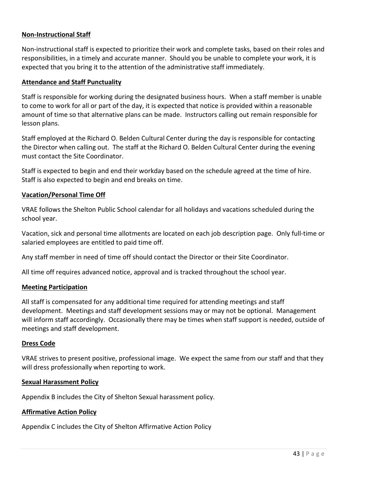#### **Non-Instructional Staff**

Non-instructional staff is expected to prioritize their work and complete tasks, based on their roles and responsibilities, in a timely and accurate manner. Should you be unable to complete your work, it is expected that you bring it to the attention of the administrative staff immediately.

#### **Attendance and Staff Punctuality**

Staff is responsible for working during the designated business hours. When a staff member is unable to come to work for all or part of the day, it is expected that notice is provided within a reasonable amount of time so that alternative plans can be made. Instructors calling out remain responsible for lesson plans.

Staff employed at the Richard O. Belden Cultural Center during the day is responsible for contacting the Director when calling out. The staff at the Richard O. Belden Cultural Center during the evening must contact the Site Coordinator.

Staff is expected to begin and end their workday based on the schedule agreed at the time of hire. Staff is also expected to begin and end breaks on time.

#### **Vacation/Personal Time Off**

VRAE follows the Shelton Public School calendar for all holidays and vacations scheduled during the school year.

Vacation, sick and personal time allotments are located on each job description page. Only full-time or salaried employees are entitled to paid time off.

Any staff member in need of time off should contact the Director or their Site Coordinator.

All time off requires advanced notice, approval and is tracked throughout the school year.

#### **Meeting Participation**

All staff is compensated for any additional time required for attending meetings and staff development. Meetings and staff development sessions may or may not be optional. Management will inform staff accordingly. Occasionally there may be times when staff support is needed, outside of meetings and staff development.

#### **Dress Code**

VRAE strives to present positive, professional image. We expect the same from our staff and that they will dress professionally when reporting to work.

#### **Sexual Harassment Policy**

Appendix B includes the City of Shelton Sexual harassment policy.

#### **Affirmative Action Policy**

Appendix C includes the City of Shelton Affirmative Action Policy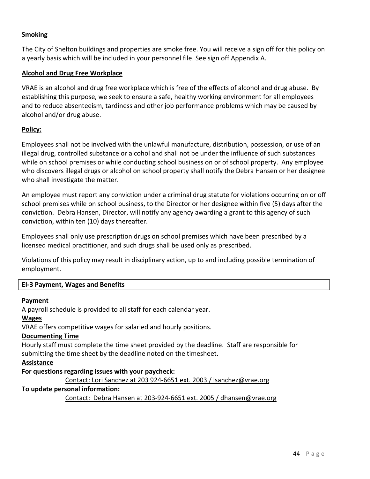#### **Smoking**

The City of Shelton buildings and properties are smoke free. You will receive a sign off for this policy on a yearly basis which will be included in your personnel file. See sign off Appendix A.

#### **Alcohol and Drug Free Workplace**

VRAE is an alcohol and drug free workplace which is free of the effects of alcohol and drug abuse. By establishing this purpose, we seek to ensure a safe, healthy working environment for all employees and to reduce absenteeism, tardiness and other job performance problems which may be caused by alcohol and/or drug abuse.

#### **Policy:**

Employees shall not be involved with the unlawful manufacture, distribution, possession, or use of an illegal drug, controlled substance or alcohol and shall not be under the influence of such substances while on school premises or while conducting school business on or of school property. Any employee who discovers illegal drugs or alcohol on school property shall notify the Debra Hansen or her designee who shall investigate the matter.

An employee must report any conviction under a criminal drug statute for violations occurring on or off school premises while on school business, to the Director or her designee within five (5) days after the conviction. Debra Hansen, Director, will notify any agency awarding a grant to this agency of such conviction, within ten (10) days thereafter.

Employees shall only use prescription drugs on school premises which have been prescribed by a licensed medical practitioner, and such drugs shall be used only as prescribed.

Violations of this policy may result in disciplinary action, up to and including possible termination of employment.

#### **EI-3 Payment, Wages and Benefits**

#### **Payment**

A payroll schedule is provided to all staff for each calendar year.

#### **Wages**

VRAE offers competitive wages for salaried and hourly positions.

#### **Documenting Time**

Hourly staff must complete the time sheet provided by the deadline. Staff are responsible for submitting the time sheet by the deadline noted on the timesheet.

#### **Assistance**

#### **For questions regarding issues with your paycheck:**

Contact: Lori Sanchez at 203 924-6651 ext. 2003 / lsanchez@vrae.org

#### **To update personal information:**

Contact: Debra Hansen at 203-924-6651 ext. 2005 / dhansen@vrae.org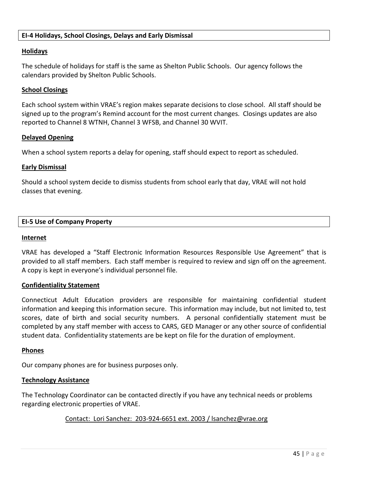#### **EI-4 Holidays, School Closings, Delays and Early Dismissal**

#### **Holidays**

The schedule of holidays for staff is the same as Shelton Public Schools. Our agency follows the calendars provided by Shelton Public Schools.

#### **School Closings**

Each school system within VRAE's region makes separate decisions to close school. All staff should be signed up to the program's Remind account for the most current changes. Closings updates are also reported to Channel 8 WTNH, Channel 3 WFSB, and Channel 30 WVIT.

#### **Delayed Opening**

When a school system reports a delay for opening, staff should expect to report as scheduled.

#### **Early Dismissal**

Should a school system decide to dismiss students from school early that day, VRAE will not hold classes that evening.

#### **EI-5 Use of Company Property**

#### **Internet**

VRAE has developed a "Staff Electronic Information Resources Responsible Use Agreement" that is provided to all staff members. Each staff member is required to review and sign off on the agreement. A copy is kept in everyone's individual personnel file.

#### **Confidentiality Statement**

Connecticut Adult Education providers are responsible for maintaining confidential student information and keeping this information secure. This information may include, but not limited to, test scores, date of birth and social security numbers. A personal confidentially statement must be completed by any staff member with access to CARS, GED Manager or any other source of confidential student data. Confidentiality statements are be kept on file for the duration of employment.

#### **Phones**

Our company phones are for business purposes only.

#### **Technology Assistance**

The Technology Coordinator can be contacted directly if you have any technical needs or problems regarding electronic properties of VRAE.

#### Contact: Lori Sanchez: 203-924-6651 ext. 2003 / [lsanchez@vrae.org](mailto:lsanchez@vrae.org)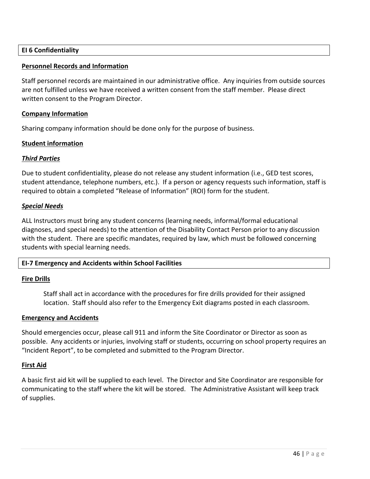#### **EI 6 Confidentiality**

#### **Personnel Records and Information**

Staff personnel records are maintained in our administrative office. Any inquiries from outside sources are not fulfilled unless we have received a written consent from the staff member. Please direct written consent to the Program Director.

#### **Company Information**

Sharing company information should be done only for the purpose of business.

#### **Student information**

#### *Third Parties*

Due to student confidentiality, please do not release any student information (i.e., GED test scores, student attendance, telephone numbers, etc.). If a person or agency requests such information, staff is required to obtain a completed "Release of Information" (ROI) form for the student.

#### *Special Needs*

ALL Instructors must bring any student concerns (learning needs, informal/formal educational diagnoses, and special needs) to the attention of the Disability Contact Person prior to any discussion with the student. There are specific mandates, required by law, which must be followed concerning students with special learning needs.

#### **EI-7 Emergency and Accidents within School Facilities**

#### **Fire Drills**

Staff shall act in accordance with the procedures for fire drills provided for their assigned location. Staff should also refer to the Emergency Exit diagrams posted in each classroom.

#### **Emergency and Accidents**

Should emergencies occur, please call 911 and inform the Site Coordinator or Director as soon as possible. Any accidents or injuries, involving staff or students, occurring on school property requires an "Incident Report", to be completed and submitted to the Program Director.

#### **First Aid**

A basic first aid kit will be supplied to each level. The Director and Site Coordinator are responsible for communicating to the staff where the kit will be stored. The Administrative Assistant will keep track of supplies.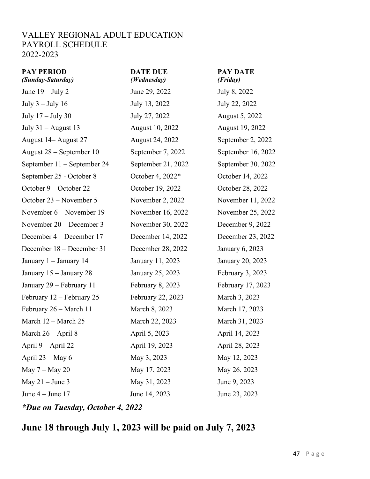#### VALLEY REGIONAL ADULT EDUCATION PAYROLL SCHEDULE 2022-2023

| <b>PAY PERIOD</b><br>(Sunday-Saturday) | <b>DATE DUE</b><br>(Wednesday) | <b>PAY DATE</b><br>(Friday) |
|----------------------------------------|--------------------------------|-----------------------------|
| June $19 -$ July 2                     | June 29, 2022                  | July 8, 2022                |
| July $3$ – July 16                     | July 13, 2022                  | July 22, 2022               |
| July $17 -$ July 30                    | July 27, 2022                  | August 5, 2022              |
| July $31 -$ August 13                  | August 10, 2022                | August 19, 2022             |
| August 14 - August 27                  | <b>August 24, 2022</b>         | September 2, 2022           |
| August 28 – September 10               | September 7, 2022              | September 16, 2022          |
| September 11 - September 24            | September 21, 2022             | September 30, 2022          |
| September 25 - October 8               | October 4, 2022*               | October 14, 2022            |
| October 9 – October 22                 | October 19, 2022               | October 28, 2022            |
| October 23 – November 5                | November 2, 2022               | November 11, 2022           |
| November 6 – November 19               | November 16, 2022              | November 25, 2022           |
| November 20 – December 3               | November 30, 2022              | December 9, 2022            |
| December 4 – December 17               | December 14, 2022              | December 23, 2022           |
| December 18 – December 31              | December 28, 2022              | January 6, 2023             |
| January 1 - January 14                 | January 11, 2023               | January 20, 2023            |
| January 15 – January 28                | January 25, 2023               | February $3, 2023$          |
| January 29 – February 11               | February $8, 2023$             | February 17, 2023           |
| February 12 – February 25              | February 22, 2023              | March 3, 2023               |
| February 26 – March 11                 | March 8, 2023                  | March 17, 2023              |
| March 12 – March 25                    | March 22, 2023                 | March 31, 2023              |
| March $26 - April 8$                   | April 5, 2023                  | April 14, 2023              |
| April $9 -$ April 22                   | April 19, 2023                 | April 28, 2023              |
| April $23 - May 6$                     | May 3, 2023                    | May 12, 2023                |
| May $7 -$ May 20                       | May 17, 2023                   | May 26, 2023                |
| May $21 -$ June 3                      | May 31, 2023                   | June 9, 2023                |
| June $4 -$ June 17                     | June 14, 2023                  | June 23, 2023               |
| *Due on Tuesday, October 4, 2022       |                                |                             |

### **June 18 through July 1, 2023 will be paid on July 7, 2023**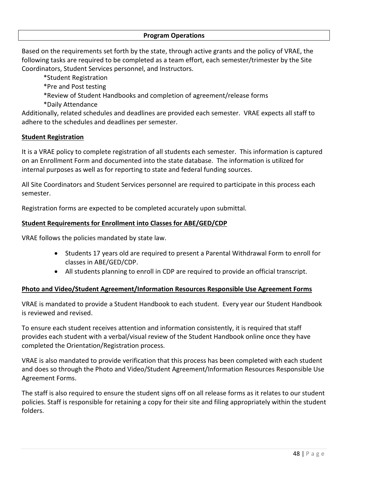#### **Program Operations**

Based on the requirements set forth by the state, through active grants and the policy of VRAE, the following tasks are required to be completed as a team effort, each semester/trimester by the Site Coordinators, Student Services personnel, and Instructors.

- \*Student Registration
- \*Pre and Post testing
- \*Review of Student Handbooks and completion of agreement/release forms
- \*Daily Attendance

Additionally, related schedules and deadlines are provided each semester. VRAE expects all staff to adhere to the schedules and deadlines per semester.

#### **Student Registration**

It is a VRAE policy to complete registration of all students each semester. This information is captured on an Enrollment Form and documented into the state database. The information is utilized for internal purposes as well as for reporting to state and federal funding sources.

All Site Coordinators and Student Services personnel are required to participate in this process each semester.

Registration forms are expected to be completed accurately upon submittal.

#### **Student Requirements for Enrollment into Classes for ABE/GED/CDP**

VRAE follows the policies mandated by state law.

- Students 17 years old are required to present a Parental Withdrawal Form to enroll for classes in ABE/GED/CDP.
- All students planning to enroll in CDP are required to provide an official transcript.

#### **Photo and Video/Student Agreement/Information Resources Responsible Use Agreement Forms**

VRAE is mandated to provide a Student Handbook to each student. Every year our Student Handbook is reviewed and revised.

To ensure each student receives attention and information consistently, it is required that staff provides each student with a verbal/visual review of the Student Handbook online once they have completed the Orientation/Registration process.

VRAE is also mandated to provide verification that this process has been completed with each student and does so through the Photo and Video/Student Agreement/Information Resources Responsible Use Agreement Forms.

The staff is also required to ensure the student signs off on all release forms as it relates to our student policies. Staff is responsible for retaining a copy for their site and filing appropriately within the student folders.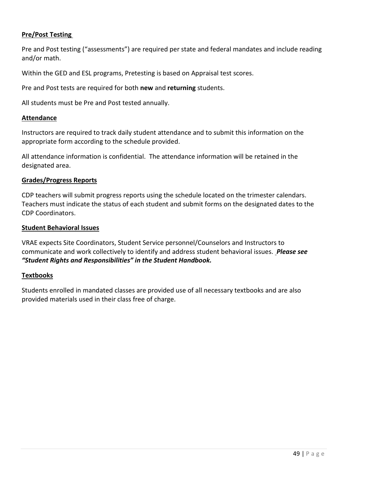#### **Pre/Post Testing**

Pre and Post testing ("assessments") are required per state and federal mandates and include reading and/or math.

Within the GED and ESL programs, Pretesting is based on Appraisal test scores.

Pre and Post tests are required for both **new** and **returning** students.

All students must be Pre and Post tested annually.

#### **Attendance**

Instructors are required to track daily student attendance and to submit this information on the appropriate form according to the schedule provided.

All attendance information is confidential. The attendance information will be retained in the designated area.

#### **Grades/Progress Reports**

CDP teachers will submit progress reports using the schedule located on the trimester calendars. Teachers must indicate the status of each student and submit forms on the designated dates to the CDP Coordinators.

#### **Student Behavioral Issues**

VRAE expects Site Coordinators, Student Service personnel/Counselors and Instructors to communicate and work collectively to identify and address student behavioral issues. *Please see "Student Rights and Responsibilities" in the Student Handbook.*

#### **Textbooks**

Students enrolled in mandated classes are provided use of all necessary textbooks and are also provided materials used in their class free of charge.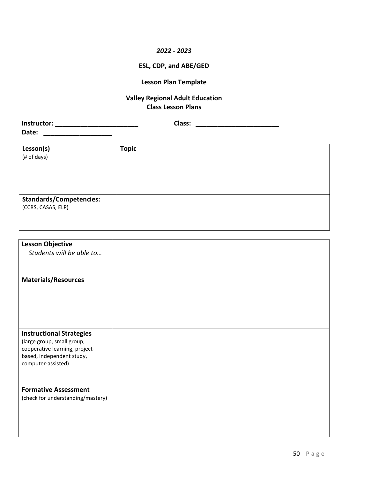#### *2022 - 2023*

#### **ESL, CDP, and ABE/GED**

#### **Lesson Plan Template**

#### **Valley Regional Adult Education Class Lesson Plans**

| Instructor: | Class: |
|-------------|--------|
| Date:       |        |

| Lesson(s)                      | <b>Topic</b> |
|--------------------------------|--------------|
| (# of days)                    |              |
|                                |              |
|                                |              |
|                                |              |
|                                |              |
| <b>Standards/Competencies:</b> |              |
| (CCRS, CASAS, ELP)             |              |
|                                |              |
|                                |              |

| <b>Lesson Objective</b>                                      |  |
|--------------------------------------------------------------|--|
| Students will be able to                                     |  |
|                                                              |  |
| <b>Materials/Resources</b>                                   |  |
|                                                              |  |
|                                                              |  |
|                                                              |  |
|                                                              |  |
|                                                              |  |
| <b>Instructional Strategies</b>                              |  |
| (large group, small group,<br>cooperative learning, project- |  |
| based, independent study,                                    |  |
| computer-assisted)                                           |  |
|                                                              |  |
| <b>Formative Assessment</b>                                  |  |
| (check for understanding/mastery)                            |  |
|                                                              |  |
|                                                              |  |
|                                                              |  |
|                                                              |  |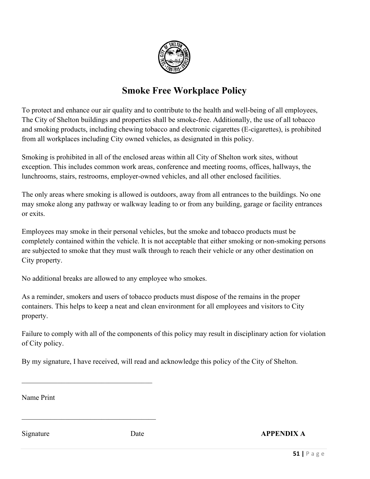

### **Smoke Free Workplace Policy**

To protect and enhance our air quality and to contribute to the health and well-being of all employees, The City of Shelton buildings and properties shall be smoke-free. Additionally, the use of all tobacco and smoking products, including chewing tobacco and electronic cigarettes (E-cigarettes), is prohibited from all workplaces including City owned vehicles, as designated in this policy.

Smoking is prohibited in all of the enclosed areas within all City of Shelton work sites, without exception. This includes common work areas, conference and meeting rooms, offices, hallways, the lunchrooms, stairs, restrooms, employer-owned vehicles, and all other enclosed facilities.

The only areas where smoking is allowed is outdoors, away from all entrances to the buildings. No one may smoke along any pathway or walkway leading to or from any building, garage or facility entrances or exits.

Employees may smoke in their personal vehicles, but the smoke and tobacco products must be completely contained within the vehicle. It is not acceptable that either smoking or non-smoking persons are subjected to smoke that they must walk through to reach their vehicle or any other destination on City property.

No additional breaks are allowed to any employee who smokes.

 $\mathcal{L}_\mathcal{L}$  , which is a set of the set of the set of the set of the set of the set of the set of the set of the set of the set of the set of the set of the set of the set of the set of the set of the set of the set of

As a reminder, smokers and users of tobacco products must dispose of the remains in the proper containers. This helps to keep a neat and clean environment for all employees and visitors to City property.

Failure to comply with all of the components of this policy may result in disciplinary action for violation of City policy.

By my signature, I have received, will read and acknowledge this policy of the City of Shelton.

Name Print

Signature **Date** Date **APPENDIX A**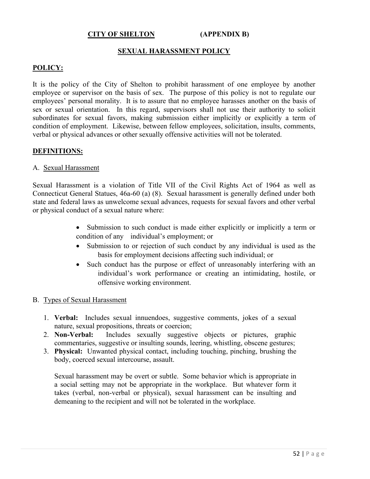#### **CITY OF SHELTON (APPENDIX B)**

#### **SEXUAL HARASSMENT POLICY**

#### **POLICY:**

It is the policy of the City of Shelton to prohibit harassment of one employee by another employee or supervisor on the basis of sex. The purpose of this policy is not to regulate our employees' personal morality. It is to assure that no employee harasses another on the basis of sex or sexual orientation. In this regard, supervisors shall not use their authority to solicit subordinates for sexual favors, making submission either implicitly or explicitly a term of condition of employment. Likewise, between fellow employees, solicitation, insults, comments, verbal or physical advances or other sexually offensive activities will not be tolerated.

#### **DEFINITIONS:**

#### A. Sexual Harassment

Sexual Harassment is a violation of Title VII of the Civil Rights Act of 1964 as well as Connecticut General Statues, 46a-60 (a) (8). Sexual harassment is generally defined under both state and federal laws as unwelcome sexual advances, requests for sexual favors and other verbal or physical conduct of a sexual nature where:

- Submission to such conduct is made either explicitly or implicitly a term or condition of any individual's employment; or
- Submission to or rejection of such conduct by any individual is used as the basis for employment decisions affecting such individual; or
- Such conduct has the purpose or effect of unreasonably interfering with an individual's work performance or creating an intimidating, hostile, or offensive working environment.

#### B. Types of Sexual Harassment

- 1. **Verbal:** Includes sexual innuendoes, suggestive comments, jokes of a sexual nature, sexual propositions, threats or coercion;
- 2. **Non-Verbal:** Includes sexually suggestive objects or pictures, graphic commentaries, suggestive or insulting sounds, leering, whistling, obscene gestures;
- 3. **Physical:** Unwanted physical contact, including touching, pinching, brushing the body, coerced sexual intercourse, assault.

Sexual harassment may be overt or subtle. Some behavior which is appropriate in a social setting may not be appropriate in the workplace. But whatever form it takes (verbal, non-verbal or physical), sexual harassment can be insulting and demeaning to the recipient and will not be tolerated in the workplace.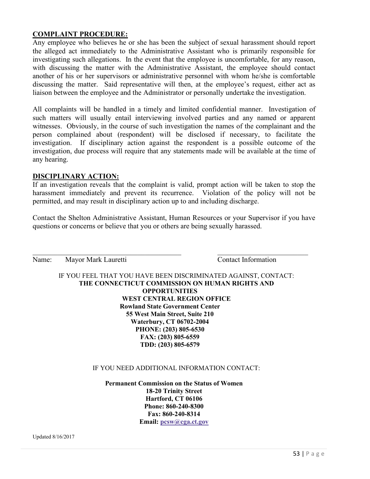#### **COMPLAINT PROCEDURE:**

Any employee who believes he or she has been the subject of sexual harassment should report the alleged act immediately to the Administrative Assistant who is primarily responsible for investigating such allegations. In the event that the employee is uncomfortable, for any reason, with discussing the matter with the Administrative Assistant, the employee should contact another of his or her supervisors or administrative personnel with whom he/she is comfortable discussing the matter. Said representative will then, at the employee's request, either act as liaison between the employee and the Administrator or personally undertake the investigation.

All complaints will be handled in a timely and limited confidential manner. Investigation of such matters will usually entail interviewing involved parties and any named or apparent witnesses. Obviously, in the course of such investigation the names of the complainant and the person complained about (respondent) will be disclosed if necessary, to facilitate the investigation. If disciplinary action against the respondent is a possible outcome of the investigation, due process will require that any statements made will be available at the time of any hearing.

#### **DISCIPLINARY ACTION:**

If an investigation reveals that the complaint is valid, prompt action will be taken to stop the harassment immediately and prevent its recurrence. Violation of the policy will not be permitted, and may result in disciplinary action up to and including discharge.

Contact the Shelton Administrative Assistant, Human Resources or your Supervisor if you have questions or concerns or believe that you or others are being sexually harassed.

| Name: | Mayor Mark Lauretti                    | <b>Contact Information</b>                                     |
|-------|----------------------------------------|----------------------------------------------------------------|
|       |                                        | IF YOU FEEL THAT YOU HAVE BEEN DISCRIMINATED AGAINST, CONTACT: |
|       |                                        | THE CONNECTICUT COMMISSION ON HUMAN RIGHTS AND                 |
|       | <b>OPPORTUNITIES</b>                   |                                                                |
|       |                                        | WEST CENTRAL REGION OFFICE                                     |
|       | <b>Rowland State Government Center</b> |                                                                |
|       | 55 West Main Street, Suite 210         |                                                                |
|       | <b>Waterbury, CT 06702-2004</b>        |                                                                |
|       | PHONE: (203) 805-6530                  |                                                                |
|       | FAX: (203) 805-6559                    |                                                                |
|       | TDD: (203) 805-6579                    |                                                                |

#### IF YOU NEED ADDITIONAL INFORMATION CONTACT:

**Permanent Commission on the Status of Women 18-20 Trinity Street Hartford, CT 06106 Phone: 860-240-8300 Fax: 860-240-8314 Email: [pcsw@cga.ct.gov](mailto:pcsw@cga.ct.gov)**

Updated 8/16/2017